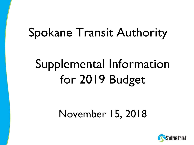# Spokane Transit Authority

# Supplemental Information for 2019 Budget

# November 15, 2018

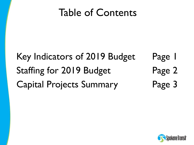# Table of Contents

## Page 1 Page 2 Key Indicators of 2019 Budget Staffing for 2019 Budget Capital Projects Summary Page 3

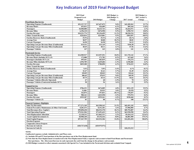### **Key Indicators of 2019 Final Proposed Budget**

|                                                      | 2019 Final            |                 | 2019 Budget vs. |              | 2019 Budget vs. |
|------------------------------------------------------|-----------------------|-----------------|-----------------|--------------|-----------------|
|                                                      | <b>Proposed Level</b> |                 | 2018 Budget %   |              | 2017 Actual %   |
|                                                      | <b>Budget</b>         | 2018 Budget     | Change          | 2017 Actual  | Change          |
| <b>Fixed Route Bus Service</b>                       |                       |                 |                 |              |                 |
| <b>Operating Expense (Unallocated)</b>               | \$52,327,727          | \$47,657,075    | 9.8%            | \$42,289,563 | 23.7%           |
| <b>Revenue Hours</b>                                 | 453,013               | 426,689         | 6.2%            | 405,164      | 11.8%           |
| <b>Passengers</b>                                    | 10,500,000            | 10,415,743      | 0.8%            | 10,264,971   | 2.3%            |
| <b>Revenue Miles</b>                                 | 6,196,110             | 5,874,950       | 5.5%            | 5,590,733    | 10.8%           |
| <b>Farebox Revenue</b>                               | \$10,221,774          | \$9,194,699     | 11.2%           | \$8,520,234  | 20.0%           |
| <b>Other Transit Revenue</b>                         | \$226,814             | \$215,001       | 5.5%            | \$383,697    | $-40.9%$        |
| <b>Farebox Recovery Ratio (Unallocated)</b>          | 19.5%                 | 19.3%           | 1.2%            | 20.1%        | $-3.0%$         |
| <b>Average Fare</b>                                  | \$0.97                | \$0.88          | 10.3%           | \$0.83       | 17.3%           |
| <b>Cost per Passenger</b>                            | \$4.98                | \$4.58          | 8.9%            | \$4.12       | 21.0%           |
| <b>Operating Cost per Revenue Hour (Unallocated)</b> | \$115.51              | \$111.69        | 3.4%            | \$104.38     | 10.7%           |
| <b>Operating Cost per Revenue Mile (Unallocated)</b> | \$8.45                | \$8.11          | 4.1%            | \$7.56       | 11.6%           |
| <b>Passenger Vehicles</b>                            | 147                   | 143             | 2.8%            | 141          | 4.3%            |
|                                                      |                       |                 |                 |              |                 |
| <b>Paratransit Service</b>                           |                       |                 |                 |              |                 |
| <b>Operating Expense (Unallocated)</b>               | \$14,909,917          | \$13,557,551    | 10.0%           | \$11,735,142 | 27.1%           |
| Revenue Hours (includes SUV) (3)                     | 172,080               | 171,782         | 0.2%            | 167,665      | 2.6%            |
| Passengers (Includes SUV) (3)                        | 495.461               | 483.819         | 2.4%            | 476,274      | 4.0%            |
| <b>Revenue Miles (Includes SUV) (3)</b>              | 2,594,705             | 2,629,684       | $-1.3%$         | 2,538,482    | 2.2%            |
| <b>Farebox Revenue</b>                               | \$829,200             | \$780,890       | 6.2%            | \$710,223    | 16.8%           |
| <b>Other Transit Revenue</b>                         |                       |                 |                 |              |                 |
| <b>Farebox Recovery Ratio (Unallocated)</b>          | 5.6%                  | 5.8%            | $-3.4%$         | 6.1%         | $-8.1%$         |
| <b>Average Fare</b>                                  | \$1.67                | \$1.61          | 3.7%            | \$1.49       | 12.2%           |
| <b>Cost per Passenger</b>                            | \$30.09               | \$28.02         | 7.4%            | \$24.64      | 22.1%           |
| <b>Operating Cost per Revenue Hour (Unallocated)</b> | \$86.65               | \$78.92         | 9.8%            | \$69.99      | 23.8%           |
| <b>Operating Cost per Revenue Mile (Unallocated)</b> | \$5.75                | \$5.16          | 11.5%           | \$4.62       | 24.3%           |
| <b>Passenger Vehicles (Directly Operated)</b>        | 67                    | 68              | $-1.5%$         | 70           | $-4.3%$         |
| Passenger Vehicles (Contracted includes SUV)         | 58                    | 56              | 3.6%            | 55           | 5.5%            |
|                                                      |                       |                 |                 |              |                 |
| <b>Vanpool Service</b>                               |                       |                 |                 |              |                 |
| <b>Operating Expense (Unallocated)</b>               | \$706,231             | \$674,009       | 4.8%            | \$521,129    | 35.5%           |
| <b>Revenue Hours</b>                                 | 31,081                | 29,933          | 3.8%            | 29,470       | 5.5%            |
| <b>Passengers</b>                                    | 162,074               | 197,831         | $-18.1%$        | 178,457      | $-9.2%$         |
| <b>Revenue Miles</b>                                 | 980.161               | 1,015,558       | $-3.5%$         | 975,974      | 0.4%            |
| <b>Farebox Revenue</b>                               | \$529,287             | \$539,261       | $-1.8%$         | \$528,460    | $0.2\%$         |
| Passenger Vehicles (3)                               | 83                    | 88              | $-5.7%$         | 108          | $-23.1%$        |
| <b>Financial Summary Highlights</b>                  |                       |                 |                 |              |                 |
| <b>Sales Tax Revenues</b>                            | \$77,271,349          | \$63,590,163    | 21.5%           | \$65,491,245 | 18.0%           |
| Federal Preventive Maintenance & Other Fed Grants    | 8,281,473             | 8,151,181       | 1.6%            | \$7,906,005  | 4.7%            |
| <b>Total Revenues (Exc. Capital)</b>                 | \$99,850,438          | \$84,532,378    | 18.1%           | \$85,752,007 | 16.4%           |
| <b>Total Operating Expense</b>                       | \$79,541,504          | \$73,491,622    | 8.2%            | \$63,930,590 | 24.4%           |
| <b>Fleet Replacement Allocation</b>                  | 12,128,312            | \$11,862,311    | 2.2%            | \$5,424,115  | 123.6%          |
| <b>Local Capital Investment (1)</b>                  | 28,908,240            | 29,154,416      | $-0.8%$         | \$6,081,989  | 375.3%          |
| <b>Total Capital Expense</b>                         | \$57,367,759          | \$43,532,304    | 31.8%           | \$14,201,694 | 304.0%          |
| <b>Election Expenses</b>                             |                       |                 |                 |              |                 |
| <b>Cooperative Street Projects</b>                   |                       |                 |                 |              |                 |
| Decrease in Cash (2)                                 | (S20, 727, 618)       | (S29, 975, 971) |                 |              |                 |
| Increase in Cash (2)                                 |                       |                 |                 | \$10,315,313 |                 |
|                                                      |                       |                 |                 |              |                 |

**NOTE:**

**Unallocated expenses exclude Administrative and Plaza costs.** 

**(1) Includes FR and PT local portions of the fleet purchases out of the Fleet Replacement fund.**

**(2) Note that the Fleet Replacement is transferred to the Fleet Replacement Fund, a separate cash account to fund Fixed Route and Paratransit fleet purchases. The (Decrease)/Increase in cash represents the cash from the change in the primary cash account.**

(3) 2018 Budget restated to reflect amounts associated with Special Use Vans included in the Paratransit division and excluded from Vanpool.<br>Date updated: 8/15/2018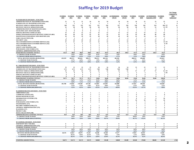### **Staffing for 2019 Budget**

|                                                                                     | <b>FUNDED</b><br>2010 | <b>FUNDED</b><br>2011            | <b>FUNDED</b><br>2012   | <b>FUNDED</b><br>2013 | <b>FUNDED</b><br>2014            | <b>FUNDED</b><br>2015 | <b>AUTHORIZED</b><br>1/01/16 | <b>FUNDED</b><br>1/01/16 | <b>FUNDED</b><br>2017   | <b>FUNDED</b><br>2018 | <b>AUTHORIZED</b><br>September 2018 | <b>FUNDED</b><br>2019 | <b>Net Change</b><br><b>Compared to</b><br>2018<br><b>Authorized</b> |
|-------------------------------------------------------------------------------------|-----------------------|----------------------------------|-------------------------|-----------------------|----------------------------------|-----------------------|------------------------------|--------------------------|-------------------------|-----------------------|-------------------------------------|-----------------------|----------------------------------------------------------------------|
| 01 FIXED ROUTE DIVISION - FUNCTION                                                  |                       |                                  |                         |                       |                                  |                       |                              |                          |                         |                       |                                     |                       |                                                                      |
| <b>ADMINISTRATION OF TRANSPORTATION (010)</b>                                       | 21                    | 21                               | 21                      | 24                    | 24                               | 24                    | 24                           | 24                       | 24                      | 25                    | 25                                  | 25                    |                                                                      |
| <b>SCHEDULING OF TRANSPORTATION (021)</b>                                           | $\overline{2}$        | $\overline{2}$                   | $\overline{2}$          | $\overline{2}$        | $\overline{2}$                   | $\overline{2}$        | $\overline{2}$               | $\overline{2}$           | $\overline{\mathbf{3}}$ | $\mathbf{3}$          | $\overline{\mathbf{3}}$             | $\mathbf{3}$          |                                                                      |
| <b>REVENUE VEHICLE OPERATIONS (030)</b><br><b>REVENUE VEH ICLE OPERATIONS (030)</b> | 240<br>32             | 221<br>28                        | 221<br>28               | 221<br>28             | 221<br>28                        | 226<br>28             | 227<br>28                    | 226<br>28                | 238<br>28               | 245<br>25             | 254<br>25                           | 266 FT<br>25 PT       | 12                                                                   |
| <b>ADMINISTRATION OF MAINTENANCE (041)</b>                                          | -5                    | 5                                | 5                       | 5                     | -5                               | 5                     | -5                           | -5                       | -5                      | 5                     | -5                                  | -6                    |                                                                      |
| <b>FACILITIES ASST. MANAGER (042)</b>                                               |                       | $\theta$                         | $\mathbf{0}$            | $\mathbf{0}$          | $\theta$                         | -1                    | - 1                          | -1                       | -1                      | -1                    | -1                                  | -1                    |                                                                      |
| <b>SERVICE REVENUE VEHICLES (051)</b>                                               | 13                    | 13                               | 12                      | 12                    | 12                               | 12                    | 12                           | 12                       | 12                      | 13                    | 13                                  | 15                    |                                                                      |
| <b>INSPECTION/MAINTENANCE REVENUE VEHICLES (061)</b>                                | 44                    | 44                               | 42                      | 42                    | 41                               | 41                    | 41                           | 41                       | 43                      | 46                    | 46                                  | 48                    |                                                                      |
| <b>MAINTENANCE BUILDINGS AND GROUNDS (124)</b>                                      | 19                    | 19                               | 19                      | 19                    | 20                               | 20                    | 20                           | 20                       | 22                      | 24                    | 24                                  | 25                    |                                                                      |
| <b>FARE COLLECTION (150)</b>                                                        |                       |                                  | $\overline{2}$          | $\overline{2}$        | $\overline{2}$                   |                       | $\overline{2}$               | $\overline{2}$           | $\overline{2}$          | $\mathbf{2}$          | $\overline{2}$                      | $\overline{2}$        |                                                                      |
| <b>SECURITY</b> (161)                                                               | 10                    | 10                               | 10                      | 10                    | 11                               | 11                    | 13                           | 12                       | 13                      | 13                    | 13                                  | 13                    |                                                                      |
| TELE INFORMATION/CUSTOMER SERVICE (162)                                             | 11                    | 11                               | 11<br>$\overline{2}$    | 12<br>$\overline{2}$  | 12                               | 12                    | 12<br>$\overline{2}$         | 12<br>$\overline{2}$     | 12<br>$\overline{2}$    | 13                    | 13                                  | 14 FT                 |                                                                      |
| TELE INFORMATION/CUSTOMER SERVICE (162)<br><b>LOSS CONTROL (165)</b>                | $\mathfrak{D}$        | $\overline{2}$<br>$\overline{2}$ | $\overline{2}$          | $\mathbf{2}$          | $\overline{2}$<br>$\overline{2}$ |                       | 2                            | $\overline{2}$           | $\overline{2}$          | $\mathcal{L}$         | $\mathcal{D}$                       | 0PT                   |                                                                      |
| <b>SAFETY AND TRAINING (166)</b>                                                    | 3                     | 3                                | -3                      | 3                     | 3                                |                       |                              |                          |                         |                       |                                     |                       |                                                                      |
| <b>PURCHASING AND STORES (172)</b>                                                  | $\boldsymbol{4}$      | $\overline{4}$                   | $\overline{\mathbf{4}}$ | 4                     | $\overline{4}$                   | 4                     |                              |                          | $\overline{\mathbf{4}}$ | $\boldsymbol{A}$      | 4                                   | -4                    |                                                                      |
| <b>GENERAL ADMINISTRATION (176)</b>                                                 | $\mathfrak{D}$        | $\mathfrak{D}$                   | $\mathcal{L}$           | 2                     | $\mathcal{D}$                    |                       |                              | 2                        | $\mathcal{D}$           |                       | $\mathcal{D}$                       |                       |                                                                      |
| FIXED ROUTE STAFFING TOTALS:                                                        | 412.0                 | 389.0                            | 386.0                   | 390.0                 | 391.0                            | 397.0                 | 401.0                        | 399.0                    | 417.0                   | 427.0                 | 436.0                               | 455.0                 | 19                                                                   |
| % CHANGE YEAR TO DATE                                                               |                       | $-5.6%$                          | $-0.8%$                 | 1.0%                  | 0.3%                             | 1.5%                  | $1.0\%$                      |                          | 4.0%                    | 2.4%                  |                                     | 6.6%                  |                                                                      |
| % CHANGE FROM 2010 (STAFFING)                                                       |                       | $-5.6%$                          | $-6.3%$                 | $-5.3%$               | $-5.1%$                          | $-3.6%$               | $-2.7%$                      |                          | 1.2%                    | 3.6%                  |                                     | 10.4%                 |                                                                      |
| TOTAL REVENUE HOURS (BUDGETED)                                                      | 423,319               | 403,572                          | 383,616                 | 389,272               | 396,513                          | 402,126               | 401,385                      |                          | 408,312                 | 426,689               |                                     | 453,013               |                                                                      |
| % CHANGE YEAR TO DATE<br>% CHANGE FROM 2010 (SERVICE)                               |                       | $-4.7%$<br>$-4.7%$               | $-4.9%$<br>$-9.4%$      | 1.5%<br>$-8.0%$       | 1.9%<br>$-6.3%$                  | 1.4%<br>$-5.0%$       | $-0.2%$<br>$-5.2%$           |                          | 1.7%<br>$-3.5%$         | 4.5%<br>0.8%          |                                     | 6.2%<br>7.0%          |                                                                      |
|                                                                                     |                       |                                  |                         |                       |                                  |                       |                              |                          |                         |                       |                                     |                       |                                                                      |
| 02 PARATRANSIT DIVISION - FUNCTION<br><b>ADMINISTRATION OF TRANSPORTATION (010)</b> |                       |                                  | 13                      | 13                    |                                  |                       |                              |                          |                         |                       |                                     |                       |                                                                      |
| <b>SCHEDULING OF TRANSPORTATION (021)</b>                                           | 13<br>5.75            | 13<br>6.75                       | 6.75                    | 6.75                  | 14<br>7.00                       | 14<br>7.00            | 14<br>7.00                   | 14<br>7.00               | 15<br>7                 | 15<br>8               | 15<br>-8                            | 15<br>8               |                                                                      |
| <b>REVENUE VEHICLE OPERATIONS (030)</b>                                             | 55                    | 54                               | 54                      | 55                    | 55                               | 55                    | 55                           | 51                       | 57                      | 57                    | 57                                  | 61 FT                 |                                                                      |
| <b>REVENUE VEH ICLE OPERATIONS (030)</b>                                            | - 9                   | -9                               | - 9                     | 6                     | -5                               | 5                     | -5                           | -5                       | -3                      | 3                     | 3                                   | 2 PT                  | -1                                                                   |
| <b>SERVICE REVENUE VEHICLES (051)</b>                                               |                       |                                  |                         |                       | $\overline{\mathbf{4}}$          |                       |                              |                          | $\boldsymbol{4}$        | $\boldsymbol{A}$      | $\boldsymbol{\Delta}$               | 5                     |                                                                      |
| <b>INSPECTION/MAINTENANCE REVENUE VEHICLES (061)</b>                                | 8                     | я                                |                         |                       |                                  | -9                    |                              | 9                        |                         |                       |                                     | $\bf{Q}$              | $\mathbf{0}$                                                         |
| PARATRANSIT STAFFING TOTALS:                                                        | 94.75                 | 94.75                            | 95.75                   | 93.75                 | 94.00                            | 94.00                 | 94.00                        | 90.00                    | 95.00                   | 96.00                 | 96.00                               | 100.00                | 4                                                                    |
| % CHANGE YEAR TO DATE                                                               |                       | $0.0\%$                          | 1.1%                    | $-2.1%$               | 0.3%                             | $0.0\%$               | $0.0\%$                      |                          | 1.1%                    | 1.1%                  |                                     | 4.2%                  |                                                                      |
| % CHANGE FROM 2010 (STAFFING)                                                       |                       | $0.0\%$                          | 1.1%                    | $-1.1%$               | $-0.8%$                          | $-0.8%$               | $-0.8%$                      |                          | 0.3%                    | 1.3%                  |                                     | 5.5%                  |                                                                      |
| <b>TOTAL REVENUE HOURS (BUDGETED)</b>                                               | 181,788               | 176,045                          | 170,449                 | 167,305               | 153,693                          | 153,693               | 161,888                      |                          | 157,821                 | 160,583               |                                     | 164,038               |                                                                      |
| % CHANGE YEAR TO DATE<br>% CHANGE FROM 2010 (SERVICE)                               |                       | $-3.2%$<br>$-3.2%$               | $-3.2%$<br>$-6.2%$      | $-1.8%$<br>$-8.0\%$   | $-8.1%$<br>$-15.5%$              | $0.0\%$<br>$-15.5%$   | 5.3%<br>$-10.9%$             |                          | $-2.5%$<br>$-13.2%$     | 1.8%<br>$-11.7\%$     |                                     | 2.2%<br>$-9.8%$       |                                                                      |
|                                                                                     |                       |                                  |                         |                       |                                  |                       |                              |                          |                         |                       |                                     |                       |                                                                      |
| 03 ADMINISTRATIVE DIVISION - FUNCTION                                               |                       |                                  |                         |                       |                                  |                       |                              |                          |                         |                       |                                     |                       |                                                                      |
| <b>OMBUDSMAN (162)</b>                                                              |                       |                                  | -1                      | -1                    | -1                               | -1                    | -1                           |                          | -1                      | -1                    |                                     |                       |                                                                      |
| <b>COMMUNICATIONS (163)</b>                                                         | 3                     | 3                                | $\overline{\mathbf{3}}$ | 3                     | 5                                | 5                     | 5                            | 5                        | 6                       | $\overline{7}$        | -7                                  | 8                     |                                                                      |
| <b>HUMAN RESOURCES (167)</b>                                                        |                       |                                  | 5                       | 5                     | 5                                |                       | 5                            | 5                        |                         |                       |                                     | 7                     |                                                                      |
| <b>INFORMATION SYSTEMS (170)</b>                                                    |                       | 5                                | 6                       | 6                     | 6                                |                       | 7                            | -7                       | 8                       |                       |                                     | 10                    |                                                                      |
| <b>FINANCE (171)</b>                                                                |                       | 8                                | -8                      | 8                     | 8                                |                       |                              | 8                        | 10                      | 10                    | 10                                  | 10                    |                                                                      |
| <b>PURCHASING AND STORES (172)</b><br><b>ENGINEERING (173)</b>                      |                       | $\mathfrak{D}$                   | $\overline{2}$          | $\overline{2}$        | $\overline{2}$                   | $\mathcal{L}$         |                              | $\overline{2}$           | -3<br>-5                | 3<br>5                | -4<br>5                             |                       |                                                                      |
| <b>RECORD COORDINATOR (175)</b>                                                     |                       |                                  | -1                      | 1                     | -1                               | -1                    |                              |                          |                         |                       |                                     |                       |                                                                      |
| <b>GENERAL ADMINISTRATION (176)</b>                                                 |                       |                                  |                         |                       |                                  |                       |                              |                          |                         |                       |                                     |                       |                                                                      |
| PLANNING (177)                                                                      |                       | 6                                | -6                      | 6                     | 7                                | 7                     |                              | -7                       | 7                       | 7                     | 7                                   | 7                     |                                                                      |
| PROJECT (185)                                                                       |                       |                                  | -1                      |                       | $\mathbf{1}$                     | -1                    | -1                           | $\mathbf{1}$             | $\theta$                | $\theta$              | $\theta$                            | $\theta$              |                                                                      |
| <b>DATA COLLECTION (190)</b>                                                        |                       |                                  |                         |                       |                                  |                       |                              |                          |                         | $\mathbf{0}$          | $\Omega$                            | $\theta$              |                                                                      |
| ADMINISTRATIVE STAFFING TOTALS:                                                     | 36.0                  | 36.0                             | 38.0                    | 38.0                  | 41.0                             | 42.0                  | 43.0                         | 42.0                     | 51.0                    | 53.0                  | 54.0                                | 58.0                  | 4                                                                    |
| % CHANGE YEAR TO DATE                                                               |                       | $0.0\%$                          | 5.6%                    | $0.0\%$               | 7.9%                             | 2.4%                  | 2.4%                         |                          | 18.6%                   | 3.9%                  |                                     | 9.4%                  |                                                                      |
| % CHANGE FROM 2010 (STAFFING)                                                       |                       | $0.0\%$                          | 5.6%                    | 5.6%                  | 13.9%                            | 16.7%                 | 19.4%                        |                          | 41.7%                   | 47.2%                 |                                     | 61.1%                 |                                                                      |
| <b>05 VANPOOL DIVISION - FUNCTION</b>                                               |                       |                                  |                         |                       |                                  |                       |                              |                          |                         |                       |                                     |                       |                                                                      |
| <b>INSP/MAINT REV VEH (061)</b>                                                     | $\bf{0}$              | $\bf{0}$                         | $\bf{0}$                | $\bf{0}$              | $\bf{0}$                         | $\bf{0}$              | $\bf{0}$                     | $\bf{0}$                 | $\bf{0}$                | $\bf{0}$              | $\bf{0}$                            | $\bf{0}$              | $\bf{0}$                                                             |
| <b>GENERAL ADMINISTRATION (176)</b>                                                 | 2                     | $\overline{2}$                   | $\overline{2}$          | $\overline{2}$        | $\overline{2}$                   | $\overline{2}$        | $\mathbf{2}$                 | $\mathbf{2}$             | $\overline{2}$          | $\overline{2}$        | $\overline{2}$                      | $\overline{2}$        | $\bf{0}$                                                             |
| VANPOOL STAFFING TOTALS:                                                            | $\overline{2}$        | $\overline{2}$                   | $\overline{2}$          | $\overline{2}$        | $\overline{2}$                   | $\overline{2}$        | $\overline{2}$               | $\overline{2}$           | $\overline{2}$          | $\overline{2}$        | $\overline{2}$                      | $\overline{2}$        | $\bf{0}$                                                             |
| % CHANGE YEAR TO DATE                                                               |                       | $0.0\%$                          | $0.0\%$                 | $0.0\%$               | $0.0\%$                          | $0.0\%$               | $0.0\%$                      |                          | $0.0\%$                 | $0.0\%$               |                                     | $0.0\%$               |                                                                      |
| % CHANGE FROM 2010 (STAFFING)                                                       |                       | $0.0\%$                          | $0.0\%$                 | $0.0\%$               | $0.0\%$                          | $0.0\%$               | $0.0\%$                      |                          | $0.0\%$                 | $0.0\%$               |                                     | $0.0\%$               |                                                                      |
| <b>REVENUE HOURS (BUDGETED)</b><br>% CHANGE YEAR TO DATE                            | 28,176                | 32,813<br>16.5%                  | 29,679<br>$-9.6%$       | 37,235<br>25.5%       | 34,548<br>$-7.2%$                | 34,548<br>$0.0\%$     | 37,277<br>7.9%               |                          | 37,853<br>1.5%          | 29,933<br>$-20.9%$    |                                     | 31,081<br>3.8%        |                                                                      |
| % CHANGE FROM 2010 (SERVICE)                                                        |                       | 16.5%                            | 5.3%                    | 32.2%                 | 22.6%                            | 22.6%                 | 32.3%                        |                          | 34.3%                   | 6.2%                  |                                     | 10.3%                 |                                                                      |
|                                                                                     |                       |                                  |                         |                       |                                  |                       |                              |                          |                         |                       |                                     |                       |                                                                      |
| STAFFING GRAND TOTAL:                                                               | 544.75                | 521.75                           | 521.75                  | 523.75                | 528.00                           | 535.00                | 540.00                       | 533.00                   | 565.00                  | 578.00                | 588.00                              | 615.00                | 27.00                                                                |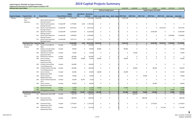**Capital Programs: 2019‐2024 by Program and Projec<sup>t</sup>**

#### **2019 Capital Projects Summary**

**Supplemental Information for Capital Programs included in TDP**

| <b>Indicates New Project Added</b> |                                            |     |                                                 |                                 |               |                                            |                |              |                                                    | 3,043,500    | 2,060,000    | 635,000             | 60,000                    | 60,000                  | 1,873,258    | 7,731,758      |
|------------------------------------|--------------------------------------------|-----|-------------------------------------------------|---------------------------------|---------------|--------------------------------------------|----------------|--------------|----------------------------------------------------|--------------|--------------|---------------------|---------------------------|-------------------------|--------------|----------------|
|                                    |                                            |     |                                                 |                                 |               |                                            |                |              | 2019 by Funding Source                             |              |              |                     | Capital Program 2019-2024 |                         |              |                |
|                                    |                                            |     |                                                 |                                 |               |                                            |                |              |                                                    |              |              |                     |                           |                         |              |                |
| <b>Program Category</b>            | <b>Program Name</b> ID                     |     | <b>Project Name</b>                             | <b>Financial Status Control</b> | <b>Budget</b> | <b>Expenditure Remaining</b><br><b>PTD</b> | <b>Balance</b> |              | 2019 - Local 2019 - State 2019 - Federa 2019 Total |              | 2020 Total   | 2021 Total          | 2022 Total                | 2023 Total              | 2024 Total   | 2019-2024      |
| Vehicles                           | <b>Fixed Route</b>                         | 530 |                                                 | Funded-MF                       | 3,016,248     |                                            | 0 3,016,248    | 3,016,248    | $\Omega$                                           | 3,016,248    | $\mathbf 0$  | $\mathbf 0$         | $\mathbf 0$               | $\mathbf 0$             | $\mathbf 0$  | 3,016,248      |
|                                    | Fleet -                                    |     | Diesel Coach Expansion -                        |                                 |               |                                            |                |              |                                                    |              |              |                     |                           |                         |              |                |
|                                    | Expansion                                  |     | Moving Forward                                  |                                 |               |                                            |                |              |                                                    |              |              |                     |                           |                         |              |                |
|                                    |                                            | 531 | Diesel Coach Expansion -                        | Funded-MF                       | 5,770,802     | 1,642                                      | 5,769,160      | 0            | $\mathbf 0$                                        | 0            | $\mathbf 0$  | 0                   | 0                         | 0                       | 0            | $\mathbf 0$    |
|                                    |                                            |     | Moving Forward                                  |                                 |               |                                            |                |              |                                                    |              |              |                     |                           |                         |              |                |
|                                    |                                            |     | 532 Electric Coach Expansion-<br>Moving Forward | Funded-MF                       | 6,672,435     | $\mathbf{0}$                               | 6,672,435      | $\mathbf 0$  | $\mathbf 0$                                        | $\mathbf 0$  | 0            | $\mathsf{O}\xspace$ | 0                         | 6,672,435               | 0            | 6,672,435      |
|                                    |                                            | 533 | Signature Coaches -                             | Funded-MF                       | 8,240,400     | 0                                          | 8,240,400      | 0            | 0                                                  | 0            | 0            | 0                   | 8,240,400                 | 0                       | 0            | 8,240,400      |
|                                    |                                            |     | Moving Forward                                  |                                 |               |                                            |                |              |                                                    |              |              |                     |                           |                         |              |                |
|                                    |                                            | 541 | Diesel Coach Expansion-                         | Funded-MF                       | 3,349,882     | $\mathbf{0}$                               | 3,349,882      | 0            | $\mathbf 0$                                        | 0            | 0            | 0                   | 0                         | 0                       | 3,349,882    | 3,349,882      |
|                                    |                                            |     | Moving Forward                                  |                                 |               |                                            |                |              |                                                    |              |              |                     |                           |                         |              |                |
|                                    |                                            | 570 | Diesel Coach Expansion-                         | Funded-MF                       | 2,971,121     |                                            | $0$ 2,971,121  | $\mathbf 0$  | $\mathbf 0$                                        | 0            | $\mathbf 0$  | 0                   | 0                         | $\mathbf 0$             | $\mathbf 0$  | 0              |
|                                    |                                            |     | Moving Forward                                  |                                 |               |                                            |                |              |                                                    |              |              |                     |                           |                         |              |                |
|                                    | <b>Fixed Route Fleet - Expansion Total</b> |     |                                                 |                                 | 30,020,888    | 1,642                                      | 30,019,246     | 3,016,248    | $\mathbf 0$                                        | 3,016,248    | $\mathbf{0}$ | $\mathbf 0$         | 8,240,400                 | 6,672,435               | 3,349,882    | 21,278,965     |
|                                    | Non-Revenue<br>Vehicles                    |     | 231 Service Trucks #815 &<br>#816               | Funded                          | 147,000       | $\mathbf 0$                                | 147,000        | $\mathbf 0$  | $\mathbf 0$                                        | 0            | $\mathsf{O}$ | $\mathbf 0$         | 0                         | $\mathsf{O}$            | $\mathbf 0$  | $\overline{0}$ |
|                                    |                                            | 296 | Replace and add shelter                         | Funded                          | 90,000        | 0                                          | 90,000         | 90,000       | $\mathbf 0$                                        | 90,000       | 0            | 0                   | 0                         | 0                       | 0            | 90,000         |
|                                    |                                            |     | cleaning truck #813                             |                                 |               |                                            |                |              |                                                    |              |              |                     |                           |                         |              |                |
|                                    |                                            | 349 | 2020 Service Vehicles                           | Funded                          | 76,500        | 0                                          | 76,500         | 0            | $\mathbf 0$                                        | 0            | 76,500       | 0                   | 0                         | 0                       | 0            | 76,500         |
|                                    |                                            |     | (previously 2017)                               |                                 |               |                                            |                |              |                                                    |              |              |                     |                           |                         |              |                |
|                                    |                                            | 350 | 2018 Service Vehicles                           | Funded                          | 165,000       | 0                                          | 165,000        | 0            | $\mathbf 0$                                        | 0            | 0            | 0                   | 0                         | 0                       | 0            | $\overline{0}$ |
|                                    |                                            | 360 | Service Vehicle                                 | Funded                          | 133,000       | 79,080                                     | 53,920         | 30,000       | $\mathbf 0$                                        | 30,000       | 0            | $\mathbf 0$         | $\mathbf 0$               | $\mathsf{O}\phantom{0}$ | $\mathbf 0$  | 30,000         |
|                                    |                                            |     | Replacement (PT                                 |                                 |               |                                            |                |              |                                                    |              |              |                     |                           |                         |              |                |
|                                    |                                            | 506 | Supervisors)-2019<br>Facilities Service/Plow    | Funded                          |               | 0                                          | 146,000        | $\mathbf 0$  | $\mathbf 0$                                        | 0            | 0            | $\mathsf 0$         | 0                         | 0                       | 0            | 0              |
|                                    |                                            |     | <b>Truck Replacement</b>                        |                                 | 146,000       |                                            |                |              |                                                    |              |              |                     |                           |                         |              |                |
|                                    |                                            | 509 | <b>Facilities Shelter Cleaning</b>              | Funded                          | 160,000       | 0                                          | 160,000        | 0            | $\mathbf 0$                                        | $\mathbf 0$  | 80,000       | 0                   | 80,000                    | 0                       | 0            | 160,000        |
|                                    |                                            |     | <b>Truck Replacements</b>                       |                                 |               |                                            |                |              |                                                    |              |              |                     |                           |                         |              |                |
|                                    |                                            | 535 | Service Vehicle                                 | Funded                          | 60,000        | 0                                          | 60,000         | 60,000       | $\mathbf 0$                                        | 60,000       | 0            | 0                   | 0                         | 0                       | 0            | 60,000         |
|                                    |                                            |     | Replacement 2020                                |                                 |               |                                            |                |              |                                                    |              |              |                     |                           |                         |              |                |
|                                    |                                            | 536 | Service Vehicle                                 | Funded                          | 70,000        | 0                                          | 70,000         | $\mathbf 0$  | $\mathbf 0$                                        | 0            | 0            | 70,000              | 0                         | 0                       | 0            | 70,000         |
|                                    |                                            |     | Replacement 2021                                |                                 |               |                                            |                |              |                                                    |              |              |                     |                           |                         |              |                |
|                                    |                                            | 558 | Service Vehicle Expansion<br>2017               | Funded                          | 45,000        | 36,797                                     | 8,203          | 0            | $\mathbf 0$                                        | 0            | 0            | 0                   | 0                         | 0                       | 0            | 0              |
|                                    |                                            | 559 | Service Vehicle                                 | Funded                          | 90,000        | 0                                          | 90,000         | $\mathbf 0$  | $\mathbf 0$                                        | $\mathbf 0$  | 0            | $\mathbf 0$         | 90,000                    | 0                       | 0            | 90,000         |
|                                    |                                            |     | Replacement 2022                                |                                 |               |                                            |                |              |                                                    |              |              |                     |                           |                         |              |                |
|                                    |                                            |     | 740 Dump Truck-Snow                             | Funded                          | 51,000        | $\mathbf{0}$                               | 51,000         | 51,000       | $\mathbf{0}$                                       | 51,000       | $\mathbf 0$  | $\mathbf 0$         | $\mathbf{0}$              | $\mathbf{0}$            | $\mathbf{0}$ | 51,000         |
|                                    |                                            | 760 | F/R Supervisor Vehicles                         | Funded                          | 75,000        | $\Omega$                                   | 75,000         | $\mathbf{0}$ | $\overline{0}$                                     | $\mathbf{0}$ | $\mathbf{0}$ | $\mathbf 0$         | $\mathbf{0}$              | $\mathbf{0}$            | 75,000       | 75,000         |
|                                    | <b>Non-Revenue Vehicles Total</b>          |     |                                                 |                                 | 1,308,500     | 115,877                                    | 1,192,623      | 231,000      | $\mathbf{0}$                                       | 231,000      | 156,500      | 70,000              | 170,000                   | $\mathbf{0}$            | 75,000       | 702,500        |
|                                    | Paratransit                                |     | 412 Replacement Vans-2020                       | Funded                          | 334,750       | $\Omega$                                   | 334,750        | $\Omega$     | $\Omega$                                           | $\Omega$     | 334,750      | $\Omega$            | $\Omega$                  | $\Omega$                | $\Omega$     | 334,750        |
|                                    | Vans                                       |     |                                                 |                                 |               |                                            |                |              |                                                    |              |              |                     |                           |                         |              |                |
|                                    |                                            | 484 | Paratransit Fleet                               | Funded                          | 689,590       | $\mathbf 0$                                | 689,590        | $\mathbf 0$  | $\mathbf 0$                                        | $\mathbf 0$  | $\mathbf 0$  | 689,590             | 0                         | $\mathsf 0$             | $\mathbf 0$  | 689,590        |
|                                    |                                            |     | Replacement-2021                                |                                 |               |                                            |                |              |                                                    |              |              |                     |                           |                         |              |                |
|                                    |                                            |     | Paratransit Fleet                               |                                 |               |                                            |                |              |                                                    |              |              |                     |                           |                         |              |                |
|                                    |                                            | 485 | Replacement-2022                                | Funded                          | 2,770,053     | $\mathbf{0}$                               | 2,770,053      | $\mathbf 0$  | $\mathbf 0$                                        | 0            | $\mathbf 0$  | $\mathbf 0$         | 2,770,053                 | $\mathsf{O}$            | 0            | 2,770,053      |
|                                    |                                            | 487 | Paratransit Fleet                               | Funded                          | 512,106       | 0                                          | 512,106        | 0            | $\mathbf 0$                                        | 0            | $\mathbf 0$  | $\mathbf 0$         | 0                         | 512,106                 | 0            | 512,106        |
|                                    |                                            |     | Replacement-2023                                |                                 |               |                                            |                |              |                                                    |              |              |                     |                           |                         |              |                |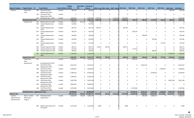|                                                 |                                            |     |                                              |                                 | <b>Budget</b> | <b>Expenditure Remaining</b> |                     |              |                                                    |           |              |                |              |              |                                 |             |             |
|-------------------------------------------------|--------------------------------------------|-----|----------------------------------------------|---------------------------------|---------------|------------------------------|---------------------|--------------|----------------------------------------------------|-----------|--------------|----------------|--------------|--------------|---------------------------------|-------------|-------------|
| <b>Program Category</b>                         | <b>Program Name ID</b>                     |     | <b>Project Name</b>                          | <b>Financial Status Control</b> |               | <b>PTD</b>                   | <b>Balance</b>      |              | 2019 - Local 2019 - State 2019 - Federa 2019 Total |           |              | 2020 Total     | 2021 Total   | 2022 Total   | 2023 Total 2024 Total 2019-2024 |             |             |
| Vehicles                                        | Paratransit<br>Vans                        | 489 | <b>Paratransit Fleet</b><br>Replacement-2024 | Funded                          | 904,236       | $\mathbf{0}$                 | 904,236             | $\Omega$     | $\mathbf 0$                                        |           | 0            | $\mathsf{O}$   | 0            | 0            | $\mathbf{0}$                    | 904,236     | 904,236     |
|                                                 |                                            |     | 491 Paratransit Fleet<br>Replacement-2025    | Funded                          | 0             | 0                            |                     | $\mathbf 0$  | $\mathbf 0$                                        |           | 0            | 0              | $\mathbf 0$  | $\mathbf 0$  | 0                               | $\mathbf 0$ | 0           |
|                                                 |                                            |     | 567 Paratransit Vans - 2019                  | Funded                          | 2,600,000     |                              | $0\quad 2,600,000$  | 1,284,768    | $\mathbf 0$                                        | 1,315,232 | 2,600,000    | $\mathbf 0$    | $\Omega$     | $\Omega$     | $\mathbf 0$                     | $\Omega$    | 2,600,000   |
|                                                 | <b>Paratransit Vans Total</b>              |     |                                              |                                 | 7,810,735     | $\mathbf{0}$                 | 7,810,735           | 1,284,768    | $\mathbf{0}$                                       | 1,315,232 | 2,600,000    | 334,750        | 689,590      | 2,770,053    | 512,106                         | 904,236     | 7,810,735   |
|                                                 | Vanpool Vans                               | 370 | Replacement Vans-2017                        | Funded                          | 443,072       | 421,226                      | 21,846              | $\mathbf 0$  | $\mathbf 0$                                        |           | $\mathbf{0}$ | $\mathbf 0$    | $\mathbf 0$  | $\mathbf 0$  | 0                               | $\mathbf 0$ | $\mathbf 0$ |
|                                                 |                                            | 590 | Vanpool Replacement<br>2018                  | Funded                          | 512,664       | 0                            | 512,664             | $\mathbf 0$  | $\mathbf 0$                                        |           | $\mathbf 0$  | 0              | $\mathbf 0$  | $\mathbf 0$  | 0                               | 0           | 0           |
|                                                 |                                            | 591 | Vanpool Replacement<br>2019                  | Funded                          | 387,161       | 0                            | 387,161             | 387,161      | $\mathbf 0$                                        |           | 387,161      | 0              | $\mathbf 0$  | $\mathbf 0$  | 0                               | 0           | 387,161     |
|                                                 |                                            | 592 | Vanpool Replacement<br>2020                  | Funded                          | 362,523       | $\mathbf 0$                  | 362,523             | 0            | 0                                                  |           | 0            | 362,523        | $\mathbf 0$  | 0            | 0                               | 0           | 362,523     |
|                                                 |                                            | 593 | Vanpool Replacement<br>2021                  | Funded                          | 336,059       | 0                            | 336,059             | $\mathbf 0$  | $\mathbf 0$                                        |           | 0            | 0              | 336,059      | $\mathbf 0$  | 0                               | 0           | 336,059     |
|                                                 |                                            | 594 | Vanpool Replacement<br>2022                  | Funded                          | 307,681       | 0                            | 307,681             | 0            | $\mathbf 0$                                        |           | 0            | 0              | 0            | 307,681      | 0                               | 0           | 307,681     |
|                                                 |                                            | 595 | Vanpool Replacement                          | Funded                          | 277,297       | 0                            | 277,297             | 0            | $\mathbf 0$                                        |           | 0            | 0              | $\mathbf 0$  | 0            | 277,297                         | 0           | 277,297     |
|                                                 |                                            | 596 | 2023<br>Vanpool Expansion 2019               | Funded                          | 281,571       | 0                            | 281,571             | 56,314       | 225,257                                            |           | 281,571      | 0              | 0            | 0            | 0                               | 0           | 281,571     |
|                                                 |                                            | 597 | Vanpool Expansion 2020                       | Funded                          | 217,514       | 0                            | 217,514             | 0            | 0                                                  |           | $\mathbf 0$  | 217,514        | $\mathbf{0}$ | $\mathbf 0$  | $\mathbf 0$                     | 0           | 217,514     |
|                                                 |                                            | 598 | Vanpool Expansion 2022                       | Funded                          | 384,601       | 0                            | 384,601             | 0            | $\mathbf 0$                                        |           | 0            | 0              | $\mathbf 0$  | 384,601      | 0                               | 0           | 384,601     |
|                                                 |                                            |     | 761 VanPool Replacement -<br>2024            | Funded                          | 1,183,258     | $\mathbf{0}$                 | 1,183,258           | $\mathbf{0}$ | $\mathbf{0}$                                       |           | $\mathbf{0}$ | $\mathbf{0}$   | $\mathbf{0}$ | $\mathbf{0}$ | $\mathbf{0}$                    | 1,183,258   | 1,183,258   |
|                                                 | <b>Vanpool Vans Total</b>                  |     |                                              |                                 | 4,693,401     | 421,226                      | 4,272,175           | 443,475      | 225,257                                            |           | 668,732      | 580,037        | 336,059      | 692,282      | 277,297                         | 1,183,258   | 3,737,665   |
|                                                 | <b>Fixed Route</b>                         | 361 |                                              | Funded                          | 1,399,105     | $\mathbf{0}$                 | 1,399,105           | $\mathbf{0}$ | $\mathbf 0$                                        |           | $\mathbf 0$  | 1,399,105      | $\mathbf 0$  | $\mathbf 0$  | $\mathbf 0$                     | $\mathbf 0$ | 1,399,105   |
|                                                 | Fleet -<br>Replacement                     |     | Bus Replacement-2019                         |                                 |               |                              |                     |              |                                                    |           |              |                |              |              |                                 |             |             |
|                                                 |                                            | 483 | <b>Fixed Route Fleet</b>                     | Funded                          | 8,533,167     | $\mathbf{0}$                 | 8,533,167           | 0            | $\mathbf 0$                                        |           | 0            | 0              | 8,533,167    | $\mathbf 0$  | 0                               | $\mathbf 0$ | 8,533,167   |
|                                                 |                                            |     | Replacement-2021                             |                                 |               |                              |                     |              |                                                    |           |              |                |              |              |                                 |             |             |
|                                                 |                                            |     | 486 Fixed Route Fleet                        | Funded                          | 5,658,023     | $\mathbf{0}$                 | 5,658,023           | $\mathbf 0$  | $\mathbf 0$                                        |           | 0            | 0              | $\mathbf 0$  | $\mathbf 0$  | 5,658,023                       | 0           | 5,658,023   |
|                                                 |                                            |     | Replacement-2023                             |                                 |               |                              |                     |              |                                                    |           |              |                |              |              |                                 |             |             |
|                                                 |                                            | 490 | <b>Fixed Route Fleet</b><br>Replacement-2022 | Funded                          | 8,789,162     | $\mathbf 0$                  | 8,789,162           | 0            | $\mathbf 0$                                        |           | 0            | 0              | $\mathbf 0$  | 8,789,162    | 0                               | 0           | 8,789,162   |
|                                                 |                                            | 492 | <b>Fixed Route Fleet</b>                     | Funded                          | 6,182,674     | $\mathbf{0}$                 | 6,182,674           | 0            | $\mathbf 0$                                        |           | 0            | 0              | $\mathbf 0$  | $\mathbf 0$  | 0                               | 0           | $\Omega$    |
|                                                 |                                            |     | Replacement-2026                             |                                 |               |                              |                     |              |                                                    |           |              |                |              |              |                                 |             |             |
|                                                 |                                            | 493 | <b>Fixed Route Fleet</b>                     | Funded                          | 9,907,198     | $\mathbf{0}$                 | 9,907,198           | 0            | $\mathbf 0$                                        |           | 0            | 0              | $\mathbf 0$  | $\mathbf 0$  | 0                               | 9,907,198   | 9,907,198   |
|                                                 |                                            |     | Replacement-2024                             |                                 |               |                              |                     |              |                                                    |           |              |                |              |              |                                 |             |             |
|                                                 |                                            | 494 | <b>Fixed Route Fleet</b>                     | Funded                          | 8,839,635     | $\mathbf 0$                  | 8,839,635           | 0            | $\mathbf 0$                                        |           | 0            | 0              | $\mathbf 0$  | $\mathbf 0$  | 0                               | 0           | 0           |
|                                                 |                                            |     | Replacement-2025<br><b>Fixed Route Fleet</b> |                                 |               |                              |                     |              |                                                    |           |              |                |              |              | 0                               |             |             |
|                                                 |                                            | 568 | Replacement-2020                             | Funded                          | 9,379,036     | $\mathbf{0}$                 | 9,379,036           | $\mathbf 0$  | 0                                                  |           | 0            | 9,379,036      | $\mathbf 0$  | $\mathbf 0$  |                                 | 0           | 9,379,036   |
|                                                 | Fixed Route Fleet - Replacement Total      |     |                                              |                                 | 58,688,000    |                              | 0 58,688,000        | $\mathbf{0}$ | $\mathbf 0$                                        |           |              | $0$ 10,778,141 | 8,533,167    | 8,789,162    | 5,658,023                       | 9,907,198   | 43,665,691  |
| <b>Vehicles Total</b>                           |                                            |     |                                              |                                 | 102,521,524   |                              | 538,745 101,982,779 | 4,975,491    | 225,257                                            | 1,315,232 | 6,515,980    | 11,849,428     | 9,628,816    | 20,661,897   | 13,119,861                      | 15,419,574  | 77,195,556  |
| Facilities -<br>Maintenance &<br>Administration | Boone - Facility<br>Master Plan<br>Program |     | 207 Refueling Facility<br>Replacement        | Funded                          | 4,828,000     |                              | 139,666 4,688,334   | $\mathbf{0}$ | $\mathbf 0$                                        |           | $\mathbf{0}$ | $\mathbf 0$    | 600,000      | 4,088,334    | $\mathbf 0$                     | $\mathbf 0$ | 4,688,334   |
|                                                 |                                            |     |                                              |                                 |               |                              |                     |              |                                                    |           |              |                |              |              |                                 |             |             |
|                                                 |                                            |     | 298 Replace paint booth and<br>lift systems  | Funded                          | 1,615,364     |                              | $0$ 1,615,364       | 5,000        | $\mathbf 0$                                        |           | 5,000        | 0              | $\mathbf 0$  | $\Omega$     | $\Omega$                        | $\mathbf 0$ | 5,000       |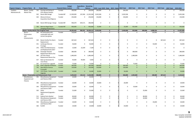|                               |                                                    |     |                                                                         |                                 | <b>Budget</b> | <b>Expenditure Remaining</b> |                    |             |                                                    |           |                       |                              |              |              |              |                      |
|-------------------------------|----------------------------------------------------|-----|-------------------------------------------------------------------------|---------------------------------|---------------|------------------------------|--------------------|-------------|----------------------------------------------------|-----------|-----------------------|------------------------------|--------------|--------------|--------------|----------------------|
| <b>Program Category</b>       | <b>Program Name ID</b>                             |     | <b>Project Name</b>                                                     | <b>Financial Status Control</b> |               | <b>PTD</b>                   | <b>Balance</b>     |             | 2019 - Local 2019 - State 2019 - Federa 2019 Total |           | 2020 Total            | 2021 Total                   | 2022 Total   | 2023 Total   |              | 2024 Total 2019-2024 |
| Facilities -<br>Maintenance & | Boone - Facility<br>Master Plan                    |     | 332 Fencing and Gating of                                               | Funded                          | 206,000       | $\mathbf{0}$                 | 206,000            | 206,000     | $\mathbf 0$                                        | 206,000   |                       | $\mathbf 0$<br>0             | 0            | $\mathbf 0$  | $\mathbf 0$  | 206,000              |
|                               |                                                    |     | STA's Boone Campus<br>502 Boone NW Garage                               | Funded-MF                       | 11,500,000    |                              | 167,494 11,332,506 | 5,032,506   | 0                                                  | 5,032,506 |                       | $\Omega$<br>0                | 0            | 0            | 0            | 5,032,506            |
|                               |                                                    | 504 | Mission & Green                                                         | Funded                          | 250,000       | $\mathbf 0$                  | 250,000            | 150,000     | 0                                                  | 150,000   |                       | $\mathbf 0$<br>$\mathbf 0$   | 0            | 0            | $\Omega$     | 150,000              |
|                               |                                                    |     | <b>Acquisition Due-Diligence</b>                                        |                                 |               |                              |                    |             |                                                    |           |                       |                              |              |              |              |                      |
|                               |                                                    | 538 | Boone NW Garage- Design                                                 | Funded-MF                       | 946,079       | 659,171                      | 286,908            | $\mathbf 0$ | 0                                                  |           | $\mathbf 0$           | $\mathbf 0$<br>$\mathbf 0$   | 0            | 0            | 0            | $\mathbf 0$          |
|                               |                                                    | 766 | Monroe-Regal Depot<br><b>Charging Infrastructure</b>                    | Funded-MF                       | 950,000       | $\overline{0}$               | 950,000            | 25,000      | $\mathbf{0}$                                       |           | 25,000<br>925,000     | $\mathbf{0}$                 | $\mathbf{0}$ | $\mathbf{0}$ | $\mathbf{0}$ | 950,000              |
|                               | <b>Boone - Facility Master Plan Program Total</b>  |     |                                                                         |                                 | 20,295,443    |                              | 966,331 19,329,112 | 5,418,506   | $\mathbf 0$                                        | 5,418,506 | 925,000               | 600,000                      | 4,088,334    | $\mathbf{0}$ | $\mathbf{0}$ | 11,031,840           |
|                               | Boone -<br>Preservation<br>and<br>Enhancements     | 189 | Re-landscaping with<br>sustainable type and<br>correct tree grates      | Funded                          | 130,000       | $\Omega$                     | 130,000            | $\Omega$    | $\mathbf 0$                                        |           | $\mathbf 0$           | $\mathbf 0$<br>$\mathbf 0$   | 130,000      | $\mathbf 0$  | $\mathbf{0}$ | 130,000              |
|                               |                                                    | 324 | Boone Facility Fire Alarm<br>Replacement                                | Funded                          | 467,610       | 0                            | 467,610            | 0           | $\mathbf 0$                                        |           | 0                     | $\mathbf 0$<br>$\mathbf 0$   | 0            | 467,610      | 0            | 467,610              |
|                               |                                                    |     | 351 Landscape Monroe                                                    | Funded                          | 50,000        | $\mathbf 0$                  | 50,000             | $\mathbf 0$ | $\mathbf 0$                                        |           | $\mathbf 0$           | $\mathbf 0$<br>$\mathbf 0$   | 50,000       | 0            | 0            | 50,000               |
|                               |                                                    |     | Frontage<br>376 HVAC Unit Maintenance                                   | Funded                          | 15,000        | 22,209                       | $-7,209$           | 0           | $\mathbf 0$                                        |           | $\mathbf 0$           | $\mathbf 0$<br>$\mathsf 0$   | 0            | 0            | 0            | 0                    |
|                               |                                                    | 458 | and Replacements-2017<br>Passenger Elevator                             | Funded                          | 380,000       | $\Omega$                     | 380,000            | 0           | 0                                                  |           | $\Omega$<br>380,000   | 0                            | 0            | 0            | 0            | 380,000              |
|                               |                                                    | 460 | Replacement Boone Ave<br><b>UST Non-Diesel</b><br>Replacement Boone Ave | Funded                          | 1,480,000     | $\mathbf{0}$                 | 1,480,000          | 0           | $\mathbf 0$                                        |           | 1,480,000<br>$\Omega$ | $\mathbf 0$                  | 0            | 0            | $\mathbf 0$  | 1,480,000            |
|                               |                                                    | 557 | Back-up Generator for<br>1212 Sharp                                     | Funded                          | 95,000        | 99,904                       | $-4,904$           | 0           | $\mathbf 0$                                        |           | $\mathbf 0$           | 0<br>$\mathbf 0$             | 0            | 0            | 0            | $\mathbf 0$          |
|                               |                                                    | 587 | Air Compressor upgrade                                                  | Funded                          | 75,000        | 0                            | 75,000             | $\mathbf 0$ | 0                                                  |           | $\mathbf 0$<br>75,000 | 0                            | 0            | 0            | 0            | 75,000               |
|                               |                                                    | 738 | <b>HVAC Upgrades NS Boone</b>                                           | Funded                          | 360,000       | $\mathbf{0}$                 | 360,000            | 360,000     | $\mathbf{0}$                                       | 360,000   |                       | $\mathbf{0}$<br>$\mathbf{0}$ | $\mathbf{0}$ | $\mathbf{0}$ | $\mathbf{0}$ | 360,000              |
|                               |                                                    |     | 745 West Boone Avenue<br>Crosswalk                                      | Funded                          | 150,000       | $\Omega$                     | 150,000            | 150,000     | $\mathbf 0$                                        | 150,000   |                       | $\mathbf{0}$<br>$\mathbf{0}$ | $\mathbf{0}$ | $\mathbf{0}$ | $\mathbf{0}$ | 150,000              |
|                               |                                                    |     | 767 1212 Sharp - Ductless Split<br>Upgrade                              | Funded                          | 50,000        | $\mathbf{0}$                 | 50,000             | 50,000      | $\mathbf{0}$                                       |           | 50,000                | $\mathbf{0}$<br>$\mathbf{0}$ | $\mathbf{0}$ | $\mathbf{0}$ | $\mathbf{0}$ | 50,000               |
|                               | <b>Boone - Preservation and Enhancements Total</b> |     |                                                                         |                                 | 3,252,610     | 122,114                      | 3,130,496          | 560,000     | $\mathbf{0}$                                       | 560,000   | 1,935,000             | $\mathbf{0}$                 | 180,000      | 467,610      | $\mathbf{0}$ | 3,142,610            |
|                               | Miscellaneous<br>Equipment and<br>Fixtures         |     | 391 Miscellaneous Equipment<br>and Fixtures-2018                        | Funded                          | 20,000        | $\mathbf 0$                  | 20,000             | $\mathbf 0$ | $\mathbf 0$                                        |           | $\mathbf 0$           | $\mathsf{O}$<br>$\mathbf 0$  | 0            | 0            | $\mathsf{O}$ | $\Omega$             |
|                               |                                                    |     | 392 Miscellaneous Equipment<br>and Fixtures-2019                        | Funded                          | 20,000        | $\mathbf 0$                  | 20,000             | 20,000      | 0                                                  |           | 20,000                | $\mathbf 0$<br>0             | 0            | 0            | 0            | 20,000               |
|                               |                                                    | 393 | Miscellaneous Equipment<br>and Fixtures-2020                            | Funded                          | 20,000        | $\mathbf 0$                  | 20,000             | 0           | 0                                                  |           | 20,000<br>$\Omega$    | $\mathbf 0$                  | $\mathbf 0$  | 0            | $\mathbf 0$  | 20,000               |
|                               |                                                    | 505 | HVAC<br>Replacement/upgrades -<br>2021                                  | Funded                          | 25,000        | $\Omega$                     | 25,000             | $\Omega$    | $\Omega$                                           |           | $\Omega$              | $\Omega$<br>25,000           | $\mathbf 0$  | 0            | $\mathbf{0}$ | 25,000               |
|                               |                                                    |     | 511 Cabinet Parts Washer                                                | Funded                          | 80,000        | $\mathbf 0$                  | 80,000             | 0           | 0                                                  |           | 0                     | $\mathbf 0$<br>80,000        | 0            | 0            | 0            | 80,000               |
|                               |                                                    |     | 512 Miscellaneous Equipment<br>and Fixtures-2021                        | Funded                          | 20,000        | $\mathbf 0$                  | 20,000             | $\Omega$    | $\mathbf 0$                                        |           | $\mathbf 0$           | $\mathbf 0$<br>20,000        | $\mathbf 0$  | $\mathbf 0$  | $\mathbf 0$  | 20,000               |
|                               |                                                    |     | 556 Miscellaneous Equipment<br>and Fixtures-2022                        | Funded                          | 20,000        | $\mathbf 0$                  | 20,000             | 0           | 0                                                  |           | $\mathbf 0$           | $\mathbf 0$<br>0             | 20,000       | 0            | 0            | 20,000               |
|                               |                                                    |     | 582 Forklift                                                            | Funded                          | 24,000        | $\mathbf 0$                  | 24,000             | 24,000      | 0                                                  |           | 24,000                | $\mathbf 0$<br>$\mathbf 0$   | 0            | $\mathbf 0$  | $\mathbf{0}$ | 24,000               |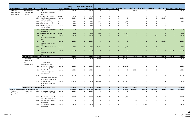|                                                 |                                                   |     |                                                              |                                 | <b>Budget</b> | <b>Expenditure Remaining</b> |                |                |                                                    |          |                |              |              |              |                                 |                |             |
|-------------------------------------------------|---------------------------------------------------|-----|--------------------------------------------------------------|---------------------------------|---------------|------------------------------|----------------|----------------|----------------------------------------------------|----------|----------------|--------------|--------------|--------------|---------------------------------|----------------|-------------|
| <b>Program Category</b>                         | <b>Program Name</b> ID                            |     | <b>Project Name</b>                                          | <b>Financial Status Control</b> |               | <b>PTD</b>                   | <b>Balance</b> |                | 2019 - Local 2019 - State 2019 - Federa 2019 Total |          |                | 2020 Total   | 2021 Total   | 2022 Total   | 2023 Total 2024 Total 2019-2024 |                |             |
| Facilities -<br>Maintenance &                   | Miscellaneous<br>Equipment and                    |     | 583 HVAC<br>Replacement/upgrades -<br>2020                   | Funded                          | 25,000        | $\mathbf 0$                  | 25,000         | $\mathbf 0$    | $\mathbf 0$                                        |          | $\mathbf 0$    | 25,000       | $\mathsf{O}$ | 0            | $\mathbf 0$                     | $\mathbf 0$    | 25,000      |
| Administration                                  | Fixtures                                          | 584 | <b>Portable Paint Station</b>                                | Funded                          | 8,000         | 0                            | 8,000          | $\mathbf 0$    | 0                                                  |          | $\mathbf 0$    | $\mathbf 0$  | 0            | 0            | $\mathbf 0$                     | $\mathbf 0$    | $\mathbf 0$ |
|                                                 |                                                   | 585 | Miscellaneous Equipment<br>and Fixtures-2023                 | Funded                          | 20,000        | 0                            | 20,000         | $\mathbf 0$    | $\mathbf 0$                                        |          | $\mathbf 0$    | $\mathsf 0$  | $\mathbf 0$  | 0            | 20,000                          | $\mathbf 0$    | 20,000      |
|                                                 |                                                   | 586 | Spray Skid Assembly                                          | Funded                          | 6,250         | 0                            | 6,250          | 6,250          | 0                                                  |          | 6,250          | $\mathbf 0$  | $\mathbf 0$  | 0            | $\mathbf 0$                     | 0              | 6,250       |
|                                                 |                                                   | 588 | High Rise Wheel Dolly                                        | Funded                          | 6,000         | 0                            | 6,000          | 0              | $\mathbf 0$                                        |          | $\mathbf 0$    | $\mathbf 0$  | $\mathbf 0$  | 0            | $\mathbf 0$                     | $\mathbf 0$    | $\mathbf 0$ |
|                                                 |                                                   | 589 | TIG Welder, Miller<br>Dynasty 280 DX                         | Funded                          | 8,400         | 0                            | 8,400          | $\Omega$       | $\mathbf 0$                                        |          | $\overline{0}$ | $\mathsf 0$  | 0            | 0            | $\mathbf 0$                     | $\mathbf 0$    | $\mathbf 0$ |
|                                                 |                                                   |     | 733 Miscellaneous Equipment<br>and Fixtures 2024             | Funded                          | 20,000        | $\mathbf{0}$                 | 20,000         | $\mathbf{0}$   | $\mathbf 0$                                        |          | $\mathbf{0}$   | $\mathbf{0}$ | $\mathbf{0}$ | $\mathbf{0}$ | $\mathbf{0}$                    | 20,000         | 20,000      |
|                                                 |                                                   | 735 | Belt Resurfacer-RMC800                                       | Funded                          | 6,500         | $\mathbf{0}$                 | 6,500          | 6,500          | $\mathbf{0}$                                       |          | 6,500          | $\mathbf{0}$ | $\mathbf{0}$ | $\mathbf 0$  | $\mathbf{0}$                    | $\mathbf{0}$   | 6,500       |
|                                                 |                                                   | 736 | <b>HVAC</b><br>Replacement/upgrades-<br>2022                 | Funded                          | 25,000        | $\Omega$                     | 25,000         | $\overline{0}$ | $\Omega$                                           |          | $\mathbf{0}$   | $\mathbf 0$  | $\mathbf{0}$ | 25,000       | $\mathbf{0}$                    | $\mathbf{0}$   | 25,000      |
|                                                 |                                                   |     | 737 HVAC<br>Replacement/upgrades-<br>2023                    | Funded                          | 25,000        | $\mathbf{0}$                 | 25,000         | $\mathbf{0}$   | $\mathbf 0$                                        |          | $\overline{0}$ | $\mathbf 0$  | $\mathbf{0}$ | $\mathbf{0}$ | 25,000                          | $\overline{0}$ | 25,000      |
|                                                 |                                                   | 739 | Hunter Alignment for Para<br>lift                            | Funded                          | 45,000        | $\mathbf{0}$                 | 45,000         | 45,000         | $\mathbf{0}$                                       |          | 45,000         | $\mathbf 0$  | $\mathbf{0}$ | $\mathbf{0}$ | $\overline{0}$                  | $\mathbf{0}$   | 45,000      |
|                                                 |                                                   |     | 762 HVAC<br>Replacement/upgrades-                            | Funded                          | 25,000        | $\mathbf{0}$                 | 25,000         | $\mathbf{0}$   | $\mathbf{0}$                                       |          | $\overline{0}$ | $\mathbf 0$  | $\mathbf{0}$ | $\mathbf{0}$ | $\mathbf{0}$                    | 25,000         | 25,000      |
|                                                 | <b>Miscellaneous Equipment and Fixtures Total</b> |     | 2024                                                         |                                 | 449,150       | $\mathbf{0}$                 | 449,150        | 101,750        | $\mathbf 0$                                        | $\Omega$ | 101,750        | 45,000       | 125,000      | 45,000       | 45,000                          | 45,000         | 406,750     |
|                                                 | Fleck Center -                                    | 354 |                                                              | Funded                          | 125,000       | $\mathbf{0}$                 | 125,000        | 125,000        | $\mathbf 0$                                        |          | 125,000        | $\mathbf 0$  | $\mathbf 0$  | $\mathbf 0$  | $\mathbf 0$                     | $\mathbf 0$    | 125,000     |
|                                                 | Preservation<br>and                               |     | Overhead Door                                                |                                 |               |                              |                |                |                                                    |          |                |              |              |              |                                 |                |             |
|                                                 | Improvements                                      |     | Replacement - FSC                                            |                                 |               |                              |                |                |                                                    |          |                |              |              |              |                                 |                |             |
|                                                 |                                                   | 424 | <b>Emergency Generator</b><br>Replacement @ FSC              | Funded                          | 180,000       | $\mathbf 0$                  | 180,000        | 180,000        | 0                                                  |          | 180,000        | 0            | $\mathbf 0$  | 0            | $\mathbf 0$                     | 0              | 180,000     |
|                                                 |                                                   | 463 | Floor Scrubber<br>Replacement @ Fleck<br>Service Center      | Funded                          | 64,000        | $\mathbf 0$                  | 64,000         | 0              | $\mathbf 0$                                        |          | $\mathbf 0$    | 64,000       | $\mathbf 0$  | 0            | $\pmb{0}$                       | $\mathbf 0$    | 64,000      |
|                                                 |                                                   | 507 |                                                              | Funded                          | 65,000        | 0                            | 65,000         | 65,000         | $\mathbf 0$                                        |          | 65,000         | $\mathbf 0$  | $\mathbf 0$  | 0            | $\mathbf 0$                     | 0              | 65,000      |
|                                                 |                                                   |     | Fuel Dispensers & Monitor<br><b>Replacement Fleck Center</b> |                                 |               |                              |                |                |                                                    |          |                |              |              |              |                                 |                |             |
|                                                 |                                                   |     | 508 Makeup Air Unit<br><b>Replacement Fleck Service</b>      | Funded                          | 625,000       | 0                            | 625,000        | 625,000        | $\mathbf 0$                                        |          | 625,000        | $\mathbf 0$  | $\mathbf 0$  | 0            | $\mathbf 0$                     | 0              | 625,000     |
|                                                 |                                                   |     | Center                                                       |                                 |               |                              |                |                |                                                    |          |                |              |              |              |                                 |                |             |
|                                                 |                                                   |     | Fleck Center - Preservation and Improvements Total           |                                 | 1,059,000     | $\mathbf{0}$                 | 1,059,000      | 995,000        | $\mathbf 0$                                        |          | 995,000        | 64,000       | $\mathbf{0}$ | $\mathbf{0}$ | $\mathbf 0$                     | $\mathbf 0$    | 1,059,000   |
| Facilities - Maintenance & Administration Total |                                                   |     |                                                              |                                 | 25,056,203    | 1,088,444 23,967,759         |                | 7,075,256      | $\mathbf 0$                                        |          | 7,075,256      | 2,969,000    | 725,000      | 4,313,334    | 512,610                         | 45,000         | 15,640,200  |
| Facilities -<br>Passenger &<br>Operational      | Park and Ride<br>Upgrades                         | 384 | Maintenance of current<br>Park & Ride facilities-2018        | Funded                          | 25,000        | 0                            | 25,000         | $\mathbf 0$    | $\mathbf 0$                                        |          | $\mathbf 0$    | $\mathbf 0$  | $\mathbf 0$  | 0            | $\mathbf 0$                     | 0              | 0           |
|                                                 |                                                   | 385 | Maintenance of current<br>Park & Ride facilities-2019        | Funded                          | 25,000        | 0                            | 25,000         | 25,000         | 0                                                  |          | 25,000         | $\mathbf 0$  | $\mathbf 0$  | 0            | 0                               | $\mathbf 0$    | 25,000      |
|                                                 |                                                   |     | 510 Park and Ride Lot Major<br>Preservation                  | Funded                          | 25,000        | 0                            | 25,000         | 0              | $\mathbf 0$                                        |          | 0              | 25,000       | $\mathbf 0$  | 0            | 0                               | 0              | 25,000      |
|                                                 |                                                   |     | 513 Park and Ride Lot Major<br>Preservation                  | Funded                          | 25,000        | 0                            | 25,000         | 0              | 0                                                  |          | 0              | $\mathbf 0$  | 25,000       | 0            | 0                               | 0              | 25,000      |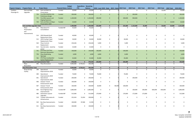|                             |                                                  |     |                                                                    |                                 | <b>Budget</b> | <b>Expenditure Remaining</b> |                |              |                                                    |              |              |                |              |              |              |                                 |             |
|-----------------------------|--------------------------------------------------|-----|--------------------------------------------------------------------|---------------------------------|---------------|------------------------------|----------------|--------------|----------------------------------------------------|--------------|--------------|----------------|--------------|--------------|--------------|---------------------------------|-------------|
| Program Category            | <b>Program Name</b> ID                           |     | <b>Project Name</b>                                                | <b>Financial Status Control</b> |               | <b>PTD</b>                   | <b>Balance</b> |              | 2019 - Local 2019 - State 2019 - Federa 2019 Total |              |              | 2020 Total     | 2021 Total   | 2022 Total   |              | 2023 Total 2024 Total 2019-2024 |             |
| Facilities -<br>Passenger & | Park and Ride<br>Upgrades                        |     | 613 Park and Ride Lot<br>Preservation                              | Funded                          | 20,000        | $\mathbf 0$                  | 20,000         | $\mathbf 0$  | $\mathbf 0$                                        |              | $\mathbf 0$  | $\mathbf 0$    | $\mathbf 0$  | 0            | 20,000       | $\mathbf 0$                     | 20,000      |
|                             |                                                  |     | 754 Five Mile Mobility Hub<br><b>Preliminary Design</b>            | Funded                          | 200,000       | $\overline{0}$               | 200,000        | $\mathbf{0}$ | $\mathbf{0}$                                       |              | $\mathbf{0}$ | 200,000        | $\mathbf{0}$ | $\mathbf{0}$ | $\mathbf{0}$ | $\mathbf{0}$                    | 200,000     |
|                             |                                                  |     | 755 Five Mile Layover and<br><b>Staging Expansion</b>              | Funded                          | 1,100,000     | $\mathbf{0}$                 | 1,100,000      | 200,000      | $\mathbf{0}$                                       |              | 200,000      | 900,000        | $\mathbf{0}$ | $\mathbf{0}$ | $\mathbf{0}$ | $\mathbf{0}$                    | 1,100,000   |
|                             |                                                  | 759 | Park and Ride Lot Major                                            | Funded                          | 20,000        | $\mathbf{0}$                 | 20,000         | $\mathbf 0$  | $\mathbf{0}$                                       |              | $\mathbf{0}$ | $\overline{0}$ | $\mathbf{0}$ | $\mathbf{0}$ | $\mathbf{0}$ | 20,000                          | 20,000      |
|                             | <b>Park and Ride Upgrades Total</b>              |     | Preservation 2024                                                  |                                 | 1,440,000     | $\mathbf{0}$                 | 1,440,000      | 225,000      | $\mathbf 0$                                        | $\mathbf{0}$ | 225,000      | 1,125,000      | 25,000       | $\mathbf 0$  | 20,000       | 20,000                          | 1,415,000   |
|                             | Plaza                                            |     | 471 Plaza Zone 4-5                                                 | Funded-MF                       | 55,620        | $\mathbf 0$                  | 55,620         | $\mathbf 0$  | $\mathbf 0$                                        |              | $\mathbf 0$  | $\mathbf 0$    | $\mathbf 0$  | $\mathbf 0$  | $\mathbf 0$  | $\mathbf 0$                     | $\Omega$    |
|                             | Preservation<br>and<br>Improvements              |     | Consolidation                                                      |                                 |               |                              |                |              |                                                    |              |              |                |              |              |              |                                 |             |
|                             |                                                  |     | 514 2018 Skywalk Roof<br>Replacement Plaza                         | Funded                          | 40,000        | $\mathbf 0$                  | 40,000         | $\mathbf 0$  | 0                                                  |              | $\mathbf 0$  | $\mathbf 0$    | $\mathbf 0$  | 0            | 0            | 0                               | $\mathbf 0$ |
|                             |                                                  |     | 515 2019 Cooling Tower<br>Replacement, Plaza                       | Funded                          | 30,000        | 0                            | 30,000         | 30,000       | $\mathbf 0$                                        |              | 30,000       | $\mathbf 0$    | $\mathbf 0$  | 0            | 0            | $\mathbf 0$                     | 30,000      |
|                             |                                                  | 564 | Plaza Controls<br>Replacement                                      | Funded                          | 234,636       | $\mathbf 0$                  | 234,636        | 5,000        | 0                                                  |              | 5,000        | 0              | $\mathbf 0$  | 0            | 0            | $\mathbf 0$                     | 5,000       |
|                             |                                                  |     | 612 Security Suite - stand-by                                      | Funded                          | 25,000        | 0                            | 25,000         | $\mathbf 0$  | 0                                                  |              | 0            | $\mathbf 0$    | $\mathbf 0$  | $\mathsf 0$  | $\mathsf 0$  | $\mathbf 0$                     | $\mathbf 0$ |
|                             |                                                  | 741 | power<br>STA Plaza 2nd Floor<br><b>Restroom Renovation</b>         | Funded                          | 140,000       | $\mathbf{0}$                 | 140,000        | 140,000      | $\mathbf{0}$                                       |              | 140,000      | $\mathbf{0}$   | $\mathbf{0}$ | $\mathbf{0}$ | $\mathbf{0}$ | $\mathbf{0}$                    | 140,000     |
|                             |                                                  |     | 756 Plaza Wayfinding                                               | Funded                          | 6,000         | $\Omega$                     | 6,000          | 6,000        | $\mathbf{0}$                                       |              | 6,000        | $\mathbf{0}$   | $\mathbf{0}$ | $\mathbf{0}$ | $\mathbf{0}$ | $\mathbf{0}$                    | 6,000       |
|                             |                                                  |     | Signange<br>765 STA Plaza Loudspeaker<br><b>System Replacement</b> | Funded                          | 45,000        | $\mathbf{0}$                 | 45,000         | 45,000       | $\mathbf{0}$                                       |              | 45,000       | $\mathbf{0}$   | $\mathbf{0}$ | $\mathbf{0}$ | $\mathbf{0}$ | $\mathbf{0}$                    | 45,000      |
|                             | <b>Plaza Preservation and Improvements Total</b> |     |                                                                    |                                 | 576,256       | $\mathbf{0}$                 | 576,256        | 226,000      | $\mathbf{0}$                                       | $\Omega$     | 226,000      | $\mathbf{0}$   | $\mathbf{0}$ | $\mathbf{0}$ | $\mathbf{0}$ | $\mathbf{0}$                    | 226,000     |
|                             | Plaza<br>Renovation                              | 495 | Plaza Renovation                                                   | Funded                          | 4,950,000     | 4,743,611                    | 206,389        | 0            | 0                                                  |              | $\mathbf 0$  | $\mathbf 0$    | 0            | $\mathbf 0$  | 0            | $\mathbf 0$                     | $\mathbf 0$ |
|                             | <b>Plaza Renovation Total</b>                    |     |                                                                    |                                 | 4,950,000     | 4,743,611                    | 206,389        | $\mathbf 0$  | $\mathbf 0$                                        | $\Omega$     | $\mathbf 0$  | $\mathbf{0}$   | $\mathbf{0}$ | $\mathbf 0$  | $\mathbf{0}$ | $\mathbf{0}$                    | $\mathbf 0$ |
|                             | Route & Stop<br>Facility                         | 399 | Operational<br>Improvements-2018                                   | Funded                          | 30,000        | $\mathbf 0$                  | 30,000         | $\mathbf 0$  | $\mathsf{O}$                                       |              | $\mathbf 0$  | $\mathbf 0$    | $\mathbf 0$  | $\mathbf 0$  | 0            | $\mathbf 0$                     | $\mathbf 0$ |
|                             |                                                  | 400 | Operational<br>Improvements-2019                                   | Funded                          | 70,000        | $\mathbf 0$                  | 70,000         | 70,000       | 0                                                  |              | 70,000       | $\mathbf 0$    | 0            | $\mathbf 0$  | 0            | 0                               | 70,000      |
|                             |                                                  | 401 | Operational<br>Improvements-2020                                   | Funded                          | 200,000       | $\mathbf 0$                  | 200,000        | $\mathbf 0$  | 0                                                  |              | 0            | 200,000        | 0            | $\mathbf 0$  | 0            | 0                               | 200,000     |
|                             |                                                  |     | 406 Outyear Transit<br>Enhancements-2018                           | Funded                          | 100,000       | $\mathbf 0$                  | 100,000        | $\mathbf 0$  | 0                                                  |              | $\mathbf 0$  | $\mathbf 0$    | $\mathbf 0$  | $\mathbf 0$  | 0            | 0                               | 0           |
|                             |                                                  | 407 | <b>Outyear Transit</b>                                             | Funded                          | 100,000       | $\mathbf 0$                  | 100,000        | 20,000       | 0                                                  | 80,000       | 100,000      | $\mathbf 0$    | $\mathbf 0$  | 0            | 0            | 0                               | 100,000     |
|                             |                                                  |     | Enhancements-2019<br>464 Rural Highway Stop                        | Funded-MF                       | 1,860,000     | $\mathbf{0}$                 | 1,860,000      | 0            | 0                                                  | $\Omega$     | 0            | 100,000        | 100,000      | 830,000      | 830,000      | 0                               | 1,860,000   |
|                             |                                                  |     | Improvements<br>480 Downtown Layover                               | Funded-MF                       | 515,000       | $\mathbf 0$                  | 515,000        | 170,000      | 0                                                  |              | 170,000      | 172,000        | 173,000      | 0            | 0            | 0                               | 515,000     |
|                             |                                                  | 519 | Upgrades<br>Traveler Information &                                 | Funded                          | 252,454       | 52,454                       | 200,000        | 0            | 0                                                  |              | $\mathbf 0$  | $\mathbf 0$    | 0            | $\mathbf 0$  | 0            | 0                               | $\Omega$    |
|                             |                                                  |     | Infrastructure<br>520 Bus Stop Improvements-                       | Funded                          | 100,000       | 87,606                       | 12,394         | 0            | 0                                                  |              | 0            | 0              | 0            | 0            | 0            | 0                               |             |
|                             |                                                  |     | 2017                                                               |                                 |               |                              |                |              |                                                    |              |              |                |              |              |              |                                 |             |
|                             |                                                  |     | 521 Bus Stop Improvements-<br>2018                                 | Funded                          | 100,000       | $\Omega$                     | 100,000        | 0            | 0                                                  |              | $\mathbf 0$  | $\mathbf 0$    | $\mathbf 0$  | $\mathbf 0$  | 0            | 0                               |             |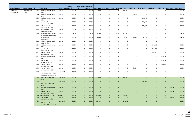|                             |                          |     |                                                                 |                                 | <b>Budget</b> | <b>Expenditure Remaining</b> |                           |              |                                                    |        |                |              |              |              |                |              |                      |
|-----------------------------|--------------------------|-----|-----------------------------------------------------------------|---------------------------------|---------------|------------------------------|---------------------------|--------------|----------------------------------------------------|--------|----------------|--------------|--------------|--------------|----------------|--------------|----------------------|
| <b>Program Category</b>     | <b>Program Name</b> ID   |     | <b>Project Name</b>                                             | <b>Financial Status Control</b> |               | <b>PTD</b>                   | <b>Balance</b>            |              | 2019 - Local 2019 - State 2019 - Federa 2019 Total |        |                | 2020 Total   | 2021 Total   | 2022 Total   | 2023 Total     |              | 2024 Total 2019-2024 |
| Facilities -<br>Passenger & | Route & Stop<br>Facility |     | 522 Bus Stop Improvements-<br>2019                              | Funded                          | 100,000       | $\mathbf 0$                  | 100,000                   | 100,000      | $\mathbf 0$                                        |        | 100,000        | $\mathbf 0$  | $\mathbf 0$  | $\mathbf 0$  | $\mathbf 0$    | $\mathbf 0$  | 100,000              |
|                             |                          | 523 | <b>Bus Stop Improvements-</b><br>2020                           | Funded                          | 100,000       | $\mathbf 0$                  | 100,000                   | 0            | $\mathbf 0$                                        |        | $\mathbf 0$    | 100,000      | $\mathbf 0$  | 0            | 0              | 0            | 100,000              |
|                             |                          | 524 | <b>Bus Stop Improvements-</b><br>2021                           | Funded                          | 100,000       | 0                            | 100,000                   | 0            | $\mathbf 0$                                        |        | $\mathbf 0$    | $\mathbf 0$  | 100,000      | 0            | $\mathbf 0$    | $\mathbf 0$  | 100,000              |
|                             |                          | 525 | Operational<br>Improvements - 2021                              | Funded                          | 200,000       | $\mathbf 0$                  | 200,000                   | 0            | 0                                                  |        | $\mathbf 0$    | $\mathbf 0$  | 200,000      | 0            | 0              | $\mathbf 0$  | 200,000              |
|                             |                          |     | 526 Outyear Transit<br>Enhancements - 2021                      | Funded                          | 100,000       | $\mathbf 0$                  | 100,000                   | 0            | $\mathbf 0$                                        |        | $\mathbf 0$    | 0            | 100,000      | 0            | 0              | 0            | 100,000              |
|                             |                          |     | 548 Indiana East of Pines<br>Sidewalk Extention                 | Funded                          | 70,000        | 8,970                        | 61,030                    | 0            | $\mathbf 0$                                        |        | $\mathbf 0$    | $\mathsf 0$  | $\mathbf 0$  | $\mathbf 0$  | 0              | $\mathbf 0$  | 0                    |
|                             |                          | 550 | <b>Trent Avenue and Sunset</b><br><b>Boulevard Improvements</b> | Funded                          | 215,000       | $\mathbf 0$                  | 215,000                   | 23,000       | 0                                                  | 92,000 | 115,000        | 0            | 0            | $\mathbf 0$  | 0              | $\mathbf 0$  | 115,000              |
|                             |                          |     | 551 Transit Shelter<br>Replacement                              | Funded                          | 200,000       | $\mathbf 0$                  | 200,000                   | 40,000       | $\mathbf 0$                                        |        | 40,000         | 40,750       | 43,250       | 0            | 0              | 0            | 124,000              |
|                             |                          |     | 552 University District South                                   | Funded                          | 100,000       | $\mathbf 0$                  | 100,000                   | 0            | $\mathbf 0$                                        |        | $\mathbf 0$    | $\mathbf 0$  | $\mathbf 0$  | 0            | 0              | $\mathbf 0$  | $\Omega$             |
|                             |                          | 553 | <b>Bridge Landing</b><br>Bus Stop Improvements -<br>2022        | Funded                          | 100,000       | $\mathbf 0$                  | 100,000                   | $\mathbf 0$  | 0                                                  |        | $\mathbf 0$    | 0            | 0            | 100,000      | 0              | $\mathbf 0$  | 100,000              |
|                             |                          | 554 | Operational<br>Improvements - 2022                              | Funded                          | 200,000       | $\mathbf 0$                  | 200,000                   | $\Omega$     | 0                                                  |        | $\mathbf 0$    | 0            | $\mathbf 0$  | 200,000      | 0              | 0            | 200,000              |
|                             |                          |     | 555 Outyear Transit<br>Enhancements - 2022                      | Funded                          | 100,000       | $\mathbf 0$                  | 100,000                   | 0            | 0                                                  |        | $\mathbf 0$    | 0            | $\mathbf 0$  | 100,000      | 0              | $\mathbf 0$  | 100,000              |
|                             |                          |     | 571 Bus Stop Improvements-<br>2023                              | Funded                          | 100,000       | $\mathbf 0$                  | 100,000                   | 0            | 0                                                  |        | $\mathbf 0$    | 0            | $\mathbf 0$  | 0            | 100,000        | 0            | 100,000              |
|                             |                          |     | 572 Operational<br>Improvements - 2023                          | Funded                          | 200,000       | $\mathbf 0$                  | 200,000                   | $\mathbf 0$  | 0                                                  |        | $\mathbf 0$    | $\mathbf 0$  | 0            | 0            | 200,000        | $\mathbf 0$  | 200,000              |
|                             |                          |     | 573 Outyear Transit<br>Enhancements - 2023                      | Funded                          | 100,000       | $\mathsf{O}$                 | 100,000                   | 0            | $\mathbf 0$                                        |        | $\mathbf 0$    | $\mathsf 0$  | $\mathsf{O}$ | 0            | 100,000        | $\mathbf 0$  | 100,000              |
|                             |                          |     | 574 Outyear Transit<br>Enhancements - 2020                      | Funded                          | 100,000       | $\mathbf 0$                  | 100,000                   | 0            | 0                                                  |        | 0              | 100,000      | $\mathbf 0$  | 0            | 0              | 0            | 100,000              |
|                             |                          | 732 | Greene and Ermina Traffic                                       | Funded-MF                       | 450,000       | $\mathbf 0$                  | 450,000                   | 0            | 0                                                  |        | $\mathbf 0$    | $\mathbf 0$  | 0            | 0            | $\mathbf 0$    | $\mathbf 0$  | 0                    |
|                             |                          |     | Signal Cooperative Project                                      |                                 |               |                              |                           |              |                                                    |        |                |              |              |              |                |              |                      |
|                             |                          |     | 743 2019 Service Change Bus<br><b>Stops</b>                     | Funded-MF                       | 300,000       | $\overline{0}$               | 300,000                   | 300,000      | $\mathbf{0}$                                       |        | 300,000        | $\mathbf{0}$ | $\mathbf{0}$ | $\mathbf{0}$ | $\mathbf{0}$   | $\mathbf{0}$ | 300,000              |
|                             |                          | 744 | 2021 Service Change Bus<br>Stops                                | Funded-MF                       | 400,000       |                              | 400,000<br>$\overline{0}$ | $\mathbf{0}$ | $\mathbf 0$                                        |        | $\mathbf{0}$   | $\mathbf{0}$ | 400,000      | $\mathbf{0}$ | $\mathbf{0}$   | $\mathbf{0}$ | 400,000              |
|                             |                          | 746 | <b>Bus Stop Improvements -</b><br>2024                          | Funded                          | 100,000       | $\mathbf{0}$                 | 100,000                   | $\Omega$     | $\mathbf{0}$                                       |        | $\overline{0}$ | $\mathbf{0}$ | $\mathbf{0}$ | $\mathbf{0}$ | $\mathbf{0}$   | 100,000      | 100,000              |
|                             |                          |     | 747 Outyear Transit<br>Enhancements - 2024                      | Funded                          | 100,000       | $\overline{0}$               | 100,000                   | $\Omega$     | $\Omega$                                           |        | $\Omega$       | $\Omega$     | $\mathbf{0}$ | $\Omega$     | $\overline{0}$ | 100,000      | 100,000              |
|                             |                          |     | 748 EWU/Surbeck Layover                                         | Funded                          | 200,000       | $\mathbf{0}$                 | 200,000                   | 200,000      | $\mathbf 0$                                        |        | 200,000        | $\mathbf{0}$ | $\mathbf{0}$ | $\mathbf{0}$ | $\mathbf{0}$   | $\mathbf{0}$ | 200,000              |
|                             |                          |     | 749 Operational<br>Improvements - 2024                          | Funded                          | 200,000       | $\mathbf{0}$                 | 200,000                   | $\mathbf{0}$ | $\mathbf{0}$                                       |        | 0              | $\mathbf{0}$ | $\mathbf{0}$ | $\mathbf{0}$ | $\mathbf{0}$   | 200,000      | 200,000              |
|                             |                          | 750 | 2019 Service Change<br><b>Operational Requirements</b>          | Funded-MF                       | 150,000       |                              | $\mathbf{0}$<br>150,000   | 150,000      | $\mathbf{0}$                                       |        | 150,000        | $\mathbf{0}$ | $\mathbf{0}$ | $\mathbf{0}$ | $\mathbf{0}$   | $\mathbf{0}$ | 150,000              |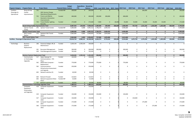| <b>Program Category</b>                               | <b>Program Name ID</b>                                      |     | <b>Project Name</b>                           | <b>Financial Status Control</b> | <b>Budget</b>           | <b>Expenditure Remaining</b><br><b>PTD</b> | <b>Balance</b>                    |                        | 2019 - Local 2019 - State 2019 - Federa 2019 Total |          |                        | 2020 Total                  | 2021 Total                  | 2022 Total                  | <b>2023 Total</b>           | 2024 Total 2019-2024        |                         |
|-------------------------------------------------------|-------------------------------------------------------------|-----|-----------------------------------------------|---------------------------------|-------------------------|--------------------------------------------|-----------------------------------|------------------------|----------------------------------------------------|----------|------------------------|-----------------------------|-----------------------------|-----------------------------|-----------------------------|-----------------------------|-------------------------|
| Facilities -                                          | Route & Stop                                                | 751 |                                               | Funded-MF                       | 200,000                 | $\overline{0}$                             | 200,000                           | $\mathbf{0}$           | $\overline{0}$                                     |          | $\mathbf{0}$           | $\mathbf{0}$                | 200,000                     | $\overline{0}$              | $\mathbf{0}$                | $\mathbf{0}$                | 200,000                 |
| Passenger &                                           | Facility                                                    |     | 2021 Service Change                           |                                 |                         |                                            |                                   |                        |                                                    |          |                        |                             |                             |                             |                             |                             |                         |
| Operational                                           | Improvements                                                |     | <b>Operational Requirements</b>               |                                 |                         |                                            |                                   |                        |                                                    |          |                        |                             |                             |                             |                             |                             |                         |
|                                                       |                                                             |     | 752 Francis and Alberta                       | Funded                          | 400,000                 | $\Omega$                                   | 400,000                           | 200,000                | 200,000                                            |          | 400,000                | $\mathbf{0}$                | $\mathbf{0}$                | $\overline{0}$              | $\mathbf{0}$                | $\mathbf{0}$                | 400,000                 |
|                                                       |                                                             |     | <b>Geometric Intersection</b><br>Improvements |                                 |                         |                                            |                                   |                        |                                                    |          |                        |                             |                             |                             |                             |                             |                         |
|                                                       |                                                             | 753 | <b>Transit Shelter Lighting</b>               | Funded                          | 175,000                 | $\mathbf 0$                                | 175,000                           | 7,000                  | $\mathbf{0}$                                       | 28,000   | 35,000                 | 35,000                      | 35,000                      | 35,000                      | 35,000                      | $\mathbf{0}$                | 175,000                 |
|                                                       |                                                             |     | Retrofits                                     |                                 |                         |                                            |                                   |                        |                                                    |          |                        |                             |                             |                             |                             |                             |                         |
|                                                       | Route & Stop Facility Improvements Total                    |     |                                               |                                 | 8,087,454               | 149,030                                    | 7,938,424                         | 1,280,000              | 200,000                                            | 200,000  | 1,680,000              | 747,750                     | 1,351,250                   | 1,265,000                   | 1,265,000                   | 400,000                     | 6,709,000               |
|                                                       | <b>Upriver Transit</b><br>Center                            |     | 475 Upriver Transit Center                    | Funded-MF                       | 5,000,000               | 8,488                                      | 4,991,512                         | 1,796,274              | 2,694,410                                          |          | 4,490,684              | $\mathbf 0$                 | 0                           | $\mathbf 0$                 | $\mathbf 0$                 | $\mathbf 0$                 | 4,490,684               |
|                                                       | <b>Upriver Transit Center Total</b>                         |     |                                               |                                 | 5,000,000               | 8,488                                      | 4,991,512                         | 1,796,274              | 2,694,410                                          | $\Omega$ | 4,490,684              | $\mathbf{0}$                | $\mathbf{0}$                | $\mathbf{0}$                | $\mathbf{0}$                | $\mathbf{0}$                | 4,490,684               |
|                                                       | <b>SFCC Transit</b>                                         |     | 575 Spokane Falls Transit                     | Funded                          | 2,963,000               | 6,993                                      | 2,956,007                         | 737,000                | 1,876,000                                          |          | 2,613,000              | $\mathbf 0$                 | 0                           | $\overline{\mathbf{0}}$     | $\mathbf 0$                 | $\mathbf 0$                 | 2,613,000               |
|                                                       | Station                                                     |     | Station                                       |                                 |                         |                                            |                                   |                        |                                                    |          |                        |                             |                             |                             |                             |                             |                         |
| <b>Facilities - Passenger &amp; Operational Total</b> | <b>SFCC Transit Station Total</b>                           |     |                                               |                                 | 2,963,000<br>23,016,710 | 6,993                                      | 2,956,007<br>4,908,121 18,108,589 | 737,000<br>4,264,274   | 1,876,000<br>4,770,410                             | 200,000  | 2,613,000<br>9,234,684 | $\mathbf{0}$<br>1,872,750   | $\mathbf{0}$<br>1,376,250   | $\mathbf{0}$<br>1,265,000   | $\mathbf{0}$<br>1,285,000   | $\mathbf{0}$<br>420,000     | 2,613,000<br>15,453,684 |
|                                                       |                                                             |     |                                               |                                 |                         |                                            |                                   |                        |                                                    |          |                        |                             |                             |                             |                             |                             |                         |
| Technology                                            | <b>Business</b>                                             | 206 | Financial, Budget, HR, &                      | Funded                          | 1,639,144               | 1,539,144                                  | 100,000                           | $\mathbf{0}$           | $\mathbf 0$                                        |          | $\mathbf 0$            | $\mathbf{0}$                | $\mathsf{O}$                | $\mathbf 0$                 | $\mathbf 0$                 | $\mathbf 0$                 | $\mathbf 0$             |
|                                                       | Systems<br>Replacement                                      |     | Maintenance                                   |                                 |                         |                                            |                                   |                        |                                                    |          |                        |                             |                             |                             |                             |                             |                         |
|                                                       |                                                             | 261 | <b>Document Management</b>                    | Funded                          | 300,000                 | $\mathbf 0$                                | 300,000                           | 300,000                | 0                                                  |          | 300,000                | 0                           | 0                           | 0                           | 0                           | 0                           | 300,000                 |
|                                                       |                                                             | 459 | Fluid Management System                       | Funded                          | 705,492                 | $\mathbf 0$                                | 705,492                           | $\mathbf 0$            | $\Omega$                                           |          | $\mathbf 0$            | $\mathbf 0$                 | $\mathbf 0$                 | $\Omega$                    | $\mathbf 0$                 | $\mathbf 0$                 | $\Omega$                |
|                                                       | <b>Business Systems Replacement Total</b>                   |     |                                               |                                 | 2,644,636               | 1,539,144                                  | 1,105,492                         | 300,000                | $\mathbf{0}$                                       |          | 300,000                | $\mathbf{0}$                | $\mathbf{0}$                | $\mathbf 0$                 | $\mathbf{0}$                | $\mathbf{0}$                | 300,000                 |
|                                                       | Communicatio<br>ns Technology                               | 517 | Digital Signage for<br>Communications - STA   | Funded                          | 100,000                 | $\mathbf 0$                                | 100,000                           | $\mathbf 0$            | $\mathbf 0$                                        |          | 0                      | 0                           | $\mathbf 0$                 | $\mathbf 0$                 | 0                           | $\mathbf 0$                 | $\Omega$                |
|                                                       | Upgrades                                                    |     | Plaza                                         |                                 |                         |                                            |                                   |                        |                                                    |          |                        |                             |                             |                             |                             |                             |                         |
|                                                       |                                                             | 562 | Mobil Data Computer -<br>Replacement          | Funded                          | 770,000                 | $\mathbf 0$                                | 770,000                           | 770,000                | 0                                                  |          | 770,000                | 0                           | 0                           | $\mathbf 0$                 | 0                           | $\mathbf 0$                 | 770,000                 |
|                                                       |                                                             | 565 | Communications                                | Funded                          | 250,000                 | $\mathbf 0$                                | 250,000                           | 0                      | 0                                                  |          | $\mathbf 0$            | 0                           | $\mathbf 0$                 | $\mathbf 0$                 | $\mathbf 0$                 | $\mathbf 0$                 | $\Omega$                |
|                                                       |                                                             |     | Infrastructure Assessment                     |                                 |                         |                                            |                                   |                        |                                                    |          |                        |                             |                             |                             |                             |                             |                         |
|                                                       |                                                             | 602 | and Upgrade<br>Network switches (5)           | Funded                          | 40,500                  | 0                                          | 40,500                            | $\Omega$               | 0                                                  |          | 0                      | 0                           | 0                           | $\mathbf 0$                 | $\mathbf 0$                 | $\mathbf 0$                 | $\mathbf 0$             |
|                                                       |                                                             |     |                                               |                                 |                         |                                            |                                   |                        |                                                    |          |                        |                             |                             |                             |                             |                             |                         |
|                                                       |                                                             | 604 | Network firewall                              | Funded                          | 123,815                 | 0                                          | 123,815                           | 0                      | 0                                                  |          | 0                      | 0                           | 0                           | 0                           | 0                           | 0                           | 0                       |
|                                                       |                                                             | 605 | Network equipment-West                        | Funded-MF                       | 25,000                  | $\mathbf 0$                                | 25,000                            | $\Omega$               | $\mathbf 0$                                        |          | $\Omega$               | $\mathbf 0$                 | $\Omega$                    | $\mathbf 0$                 | $\mathbf 0$                 | $\mathbf 0$                 | $\Omega$                |
|                                                       |                                                             |     | Plains                                        |                                 |                         |                                            |                                   |                        |                                                    |          |                        |                             |                             |                             |                             |                             |                         |
|                                                       |                                                             |     | 757 Network switches (10)                     | Funded                          | 80,000                  | $\overline{0}$                             | 80,000                            | 80,000                 | $\mathbf{0}$                                       |          | 80,000                 | $\mathbf{0}$                | $\mathbf{0}$                | $\overline{0}$              | $\mathbf{0}$                | $\mathbf{0}$                | 80,000                  |
|                                                       | <b>Communications Technology Upgrades Total</b><br>Computer | 418 | Computer Equipment-                           | Funded                          | 1,389,315<br>150,000    | $\mathbf{0}$<br>$\mathbf 0$                | 1,389,315<br>150,000              | 850,000<br>$\mathbf 0$ | $\mathbf{0}$<br>$\mathbf 0$                        |          | 850,000<br>$\Omega$    | $\mathbf{0}$<br>$\mathbf 0$ | $\mathbf{0}$<br>$\mathbf 0$ | $\mathbf{0}$<br>$\mathbf 0$ | $\mathbf{0}$<br>$\mathbf 0$ | $\mathbf{0}$<br>$\mathbf 0$ | 850,000<br>$\Omega$     |
|                                                       | Equipment<br>Preservation                                   |     | 2018                                          |                                 |                         |                                            |                                   |                        |                                                    |          |                        |                             |                             |                             |                             |                             |                         |
|                                                       | and Upgrades                                                |     | 419 Computer Equipment-                       | Funded                          | 150,000                 | 0                                          | 150,000                           | 150,000                | 0                                                  |          | 150,000                | 0                           | $\mathbf 0$                 | $\mathbf 0$                 | $\mathbf 0$                 | $\mathbf 0$                 | 150,000                 |
|                                                       |                                                             |     | 2019                                          |                                 |                         |                                            |                                   |                        |                                                    |          |                        |                             |                             |                             |                             |                             |                         |
|                                                       |                                                             |     | 527 Computer Equipment -<br>2020              | Funded                          | 150,000                 | $\mathbf{0}$                               | 150,000                           | 0                      | $\mathbf 0$                                        |          | 0                      | 150,000                     | $\mathbf 0$                 | $\mathbf 0$                 | $\mathbf 0$                 | 0                           | 150,000                 |
|                                                       |                                                             |     | 528 Computer Equipment -<br>2021              | Funded                          | 175,000                 | $\mathbf 0$                                | 175,000                           | 0                      | 0                                                  |          | 0                      | $\mathbf 0$                 | 175,000                     | $\mathbf 0$                 | $\mathbf 0$                 | $\mathbf 0$                 | 175,000                 |
|                                                       |                                                             |     | 566 Computer Equipment -<br>2022              | Funded                          | 175,000                 | 0                                          | 175,000                           | 0                      | 0                                                  |          | 0                      | $\mathbf 0$                 | $\mathbf{0}$                | 175,000                     | $\mathbf 0$                 | $\mathbf 0$                 | 175,000                 |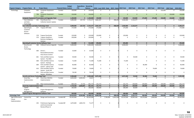|                           |                                                   |     |                                                                         |                                 | <b>Budget</b>         | <b>Expenditure Remaining</b> |                                 |                      |                                                    |           |                      |                     |                         |                         |                         |                         |                       |
|---------------------------|---------------------------------------------------|-----|-------------------------------------------------------------------------|---------------------------------|-----------------------|------------------------------|---------------------------------|----------------------|----------------------------------------------------|-----------|----------------------|---------------------|-------------------------|-------------------------|-------------------------|-------------------------|-----------------------|
| <b>Program Category</b>   | <b>Program Name</b> ID                            |     | <b>Project Name</b>                                                     | <b>Financial Status Control</b> |                       | <b>PTD</b>                   | <b>Balance</b>                  |                      | 2019 - Local 2019 - State 2019 - Federa 2019 Total |           |                      | 2020 Total          | 2021 Total              | 2022 Total              | 2023 Total              | 2024 Total 2019-2024    |                       |
| Technology                | Computer                                          | 603 | Computer Equipment-                                                     | Funded                          | 150,000               | $\mathbf 0$                  | 150,000                         | $\mathbf 0$          | $\Omega$                                           |           | $\mathbf 0$          | $\mathbf 0$         | $\mathbf 0$             | $\mathbf 0$             | 150,000                 | $\mathbf 0$             | 150,000               |
|                           | Equipment                                         | 758 | 2023<br>Computer Equipment -                                            | Funded                          | 150,000               | $\overline{0}$               | 150,000                         | $\overline{0}$       | $\mathbf{0}$                                       |           | $\mathbf{0}$         | $\overline{0}$      | $\mathbf{0}$            | $\mathbf{0}$            | $\mathbf{0}$            | 150,000                 | 150,000               |
|                           |                                                   |     | 2024<br><b>Computer Equipment Preservation and Upgrades Total</b>       |                                 | 1,100,000             |                              | $0 \quad 1,100,000$             | 150,000              | $\mathbf{0}$                                       |           | 150,000              | 150,000             | 175,000                 | 175,000                 | 150,000                 | 150,000                 | 950,000               |
|                           | <b>Fare Collection</b>                            |     | 431 Fixed Route Fare                                                    | Funded                          | 5,890,000             | 167,723                      | $\overline{5,722,27}$           | 2,861,507            | $\mathbf 0$                                        | 498,493   | 3,360,000            | 2,132,277           | $\mathbf 0$             | $\mathbf 0$             | 0                       | $\mathbf 0$             | 5,492,277             |
|                           | and Sales<br>Technology                           |     | <b>Collection System Update</b>                                         |                                 |                       |                              |                                 |                      |                                                    |           |                      |                     |                         |                         |                         |                         |                       |
|                           | <b>Fare Collection and Sales Technology Total</b> |     |                                                                         |                                 | 5,890,000             | 167,723                      | 5,722,277                       | 2,861,507            | $\mathbf 0$                                        | 498,493   | 3,360,000            | 2,132,277           | $\mathbf 0$             | $\mathbf 0$             | $\mathbf{0}$            | $\bf{0}$                | 5,492,277             |
|                           | Operating &                                       |     | 577 Trapeze OPS-Web                                                     | Funded                          | 175,000               | $\mathbf 0$                  | 175,000                         | 175,000              | $\mathbf 0$                                        |           | 175,000              | $\mathbf 0$         | $\mathbf 0$             | $\mathbf 0$             | $\mathbf 0$             | $\mathbf 0$             | 175,000               |
|                           | Customer<br>Service<br>Software                   |     |                                                                         |                                 |                       |                              |                                 |                      |                                                    |           |                      |                     |                         |                         |                         |                         |                       |
|                           |                                                   |     | 578 Trapeze ParaCutter                                                  | Funded                          | 120,000               | 0                            | 120,000                         | 120,000              | 0                                                  |           | 120,000              | 0                   | 0                       | 0                       | 0                       | 0                       | 120,000               |
|                           |                                                   |     | 579 Trapeze ViewPoint -<br><b>Business Intelligence</b>                 | Funded                          | 220,000               | $\Omega$                     | 220,000                         | 0                    | $\Omega$                                           |           | 0                    | $\mathbf 0$         | $\mathbf 0$             | $\mathbf 0$             | $\mathbf 0$             | $\mathbf 0$             | $\mathbf 0$           |
|                           |                                                   |     | Solution<br><b>Operating &amp; Customer Service Software Total</b>      |                                 | 515,000               | $\mathbf{0}$                 | 515,000                         | 295,000              | $\mathbf{0}$                                       | $\Omega$  | 295,000              | $\mathbf{0}$        | $\mathbf{0}$            | $\mathbf 0$             | $\mathbf{0}$            | $\mathbf{0}$            | 295,000               |
|                           | Security and                                      |     | 468 OnBoard Camera Upgrade                                              | Funded                          | 4,000,000             | $\mathbf 0$                  | 4,000,000                       | 4,000,000            | $\mathbf 0$                                        |           | 4,000,000            | $\overline{0}$      | 0                       | $\mathbf 0$             | 0                       | 0                       | 4,000,000             |
|                           | Access<br>Technology                              |     |                                                                         |                                 |                       |                              |                                 |                      |                                                    |           |                      |                     |                         |                         |                         |                         |                       |
|                           |                                                   | 600 | Driver's<br>Room/Administrative<br>Area Access Control                  | Funded                          | 25,000                | $\Omega$                     | 25,000                          | $\mathbf 0$          | 0                                                  |           | 0                    | 0                   | $\mathbf 0$             | $\mathbf 0$             | 0                       | 0                       | 0                     |
|                           |                                                   | 601 | Park and Ride Camera<br>System - Five Mile                              | Funded                          | 59,500                | 0                            | 59,500                          | 0                    | 0                                                  |           | $\mathbf 0$          | 59,500              | 0                       | 0                       | 0                       | 0                       | 59,500                |
|                           |                                                   | 608 | Park and Ride Camera<br>System - Hastings                               | Funded                          | 71,500                | 0                            | 71,500                          | 71,500               | 0                                                  |           | 71,500               | 0                   | $\mathbf 0$             | 0                       | 0                       | 0                       | 71,500                |
|                           |                                                   | 609 | Park and Ride Camera<br>System - Liberty Lake                           | Funded                          | 85,900                | $\mathbf 0$                  | 85,900                          | 0                    | $\mathbf 0$                                        |           | 0                    | 0                   | 85,900                  | 0                       | 0                       | 0                       | 85,900                |
|                           |                                                   | 610 | Park and Ride Camera<br>System - South Hill                             | Funded                          | 74,600                | $\mathbf 0$                  | 74,600                          | 0                    | $\mathbf 0$                                        |           | 0                    | 0                   | 0                       | 74,600                  | 0                       | 0                       | 74,600                |
|                           |                                                   |     | 611 Park and Ride Camera<br>System - Mirabeau                           | Funded                          | 78,100                | $\mathbf 0$                  | 78,100                          | $\mathbf 0$          | $\mathbf 0$                                        |           | 0                    | 0                   | $\mathsf 0$             | $\mathsf 0$             | 0                       | 0                       | 0                     |
|                           | <b>Security and Access Technology Total</b>       |     |                                                                         |                                 | 4,394,600             | $\mathbf{0}$                 | 4,394,600                       | 4,071,500            | $\mathbf 0$                                        |           | 4,071,500            | 59,500              | 85,900                  | 74,600                  | $\mathbf{0}$            | $\mathbf 0$             | 4,291,500             |
|                           | Smart Bus<br>Implementatio<br>n                   | 237 | Smart Bus CAD/AVL<br>Implementation                                     | Funded                          | 6,850,000             | 6,830,343                    | 19,657                          | $\Omega$             | $\Omega$                                           |           | $\mathbf 0$          | $\mathbf 0$         | $\mathbf 0$             | $\mathbf 0$             | $\mathbf 0$             | $\Omega$                | $\Omega$              |
|                           |                                                   |     | 336 Fiber Communications                                                | Funded                          | 869,528               | 27,755                       | 841,773                         | 141,773              | 0                                                  |           | 141,773              | 100,000             | 100,000                 | 100,000                 | 100,000                 | 100,000                 | 641,773               |
|                           | <b>Smart Bus Implementation Total</b>             |     |                                                                         |                                 | 7,719,528             | 6,858,097                    | 861,431                         | 141,773              | $\mathbf{0}$                                       |           | 141,773              | 100,000             | 100,000                 | 100,000                 | 100,000                 | 100,000                 | 641,773               |
|                           | Capital                                           | 763 |                                                                         | Funded                          | 260,000               | $\mathbf 0$                  | 260,000                         | 180,000              | $\mathbf 0$                                        |           | 180,000              | 80,000              | $\mathbf 0$             | $\Omega$                | $\mathbf 0$             | $\mathbf 0$             | 260,000               |
|                           | Program                                           |     | <b>Project Management</b>                                               |                                 |                       |                              |                                 |                      |                                                    |           |                      |                     |                         |                         |                         |                         |                       |
|                           | Management                                        |     | Software                                                                |                                 |                       |                              |                                 |                      |                                                    |           |                      |                     |                         |                         |                         |                         |                       |
| <b>Technology Total</b>   | <b>Capital Program Management Software Total</b>  |     |                                                                         |                                 | 260,000<br>23,913,079 | $\mathbf{0}$                 | 260,000<br>8,564,964 15,348,115 | 180,000<br>8,849,780 | $\mathbf 0$<br>$\mathbf{0}$                        | 498,493   | 180,000<br>9,348,273 | 80,000<br>2,521,777 | $\mathbf{0}$<br>360,900 | $\mathbf{0}$<br>349,600 | $\mathbf{0}$<br>250,000 | $\mathbf{0}$<br>250,000 | 260,000<br>13,080,550 |
| High Performance          | Central City                                      |     | 347 Design and Construction                                             | Funded-MF                       | 65,425,000            |                              | 0 65,425,000                    | $\mathbf 0$          | 7,700,000                                          | 6,453,500 | 14,153,500           | 20,995,500          | 29,276,000              | 1,000,000               | $\mathbf 0$             | $\mathbf 0$             | 65,425,000            |
| Transit<br>Implementation | Line                                              |     |                                                                         |                                 |                       |                              |                                 |                      |                                                    |           |                      |                     |                         |                         |                         |                         |                       |
|                           |                                                   | 435 | <b>Preliminary Engineering</b><br>and Environmental<br>Review (Phase C) | Funded-MF                       | 1,875,000             | 1,803,723                    | 71,277                          | $\mathbf 0$          | 0                                                  |           | $\mathbf{0}$         | $\mathbf 0$         | 0                       | 0                       | 0                       | 0                       | 0                     |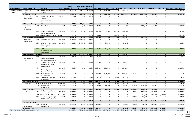|                                                      |                                          |     |                                                                                                   |                                 | <b>Budget</b>        | <b>Expenditure Remaining</b> |                       |              |                                                    |                      |                      |              |                |              |                              |                      |                            |
|------------------------------------------------------|------------------------------------------|-----|---------------------------------------------------------------------------------------------------|---------------------------------|----------------------|------------------------------|-----------------------|--------------|----------------------------------------------------|----------------------|----------------------|--------------|----------------|--------------|------------------------------|----------------------|----------------------------|
| <b>Program Category</b>                              | <b>Program Name</b> ID                   |     | <b>Project Name</b>                                                                               | <b>Financial Status Control</b> |                      | <b>PTD</b>                   | <b>Balance</b>        |              | 2019 - Local 2019 - State 2019 - Federa 2019 Total |                      |                      | 2020 Total   | 2021 Total     | 2022 Total   | 2023 Total                   | 2024 Total 2019-2024 |                            |
| High Performance<br>Transit                          | <b>Central City</b><br>Line              |     | 546 Project Development<br>(Phase D)                                                              | Funded-MF                       | 4,700,000            | 399,197                      | 4,300,803             | $\mathbf{0}$ | 1,541,636                                          |                      | 1,541,636            | $\mathbf 0$  | $\mathbf 0$    | $\mathbf 0$  | $\mathbf 0$                  | 0                    | 1,541,636                  |
|                                                      | <b>Central City Line Total</b>           |     |                                                                                                   |                                 | 72,000,000           | 2,202,920                    | 69.797.080            | $\mathbf{0}$ | 9,241,636                                          | 6,453,500            | 15,695,136           | 20,995,500   | 29,276,000     | 1,000,000    | $\mathbf{0}$                 |                      | 66,966,636<br>$\mathbf{0}$ |
|                                                      | <b>HPT Program</b>                       | 427 | <b>HPT Passenger Facilities</b>                                                                   | Funded                          | 618,750              | 571,784                      | 46,966                | $\Omega$     | $\Omega$                                           |                      | $\mathbf 0$          | $\Omega$     | $\Omega$       | $\Omega$     | $\mathbf 0$                  | 0                    |                            |
|                                                      | Development                              |     | Design and<br>Communications<br>Standards                                                         |                                 |                      |                              |                       |              |                                                    |                      |                      |              |                |              |                              |                      |                            |
|                                                      | <b>HPT Program Development Total</b>     |     |                                                                                                   |                                 | 618,750              | 571,784                      | 46,966                | $\mathbf{0}$ | $\mathbf 0$                                        |                      | $\mathbf{0}$         | $\mathbf{0}$ | $\mathbf{0}$   | $\mathbf{0}$ | $\mathbf{0}$                 | $\mathbf{0}$         | $\mathbf{0}$               |
|                                                      | Incremental<br><b>HPT</b>                |     | 470 Plaza HPT Platforms                                                                           | Funded-MF                       | 1,545,000            | 5,198                        | 1,539,802             | 40,000       | $\Omega$                                           |                      | 40,000               | $\mathbf 0$  | 1,122,552      | 77,250       | $\mathbf 0$                  | 0                    | 1,239,802                  |
|                                                      | Investments                              |     | 472 Division Passenger and                                                                        | Funded-MF                       | 2,000,000            | 59,334                       | 1,940,666             | 497,490      | 70,000                                             | 923,176              | 1,490,666            | 0            | 0              | $\mathbf 0$  | $\mathbf 0$                  | $\Omega$             | 1,490,666                  |
|                                                      |                                          |     | <b>Operational Treatments</b>                                                                     |                                 |                      | $\Omega$                     |                       | 90,000       | $\Omega$                                           |                      |                      | $\mathbf 0$  | $\mathbf 0$    | 0            |                              | $\mathbf 0$          |                            |
|                                                      | <b>Incremental HPT Investments Total</b> |     | 478 Division HPT Design Study                                                                     | Funded                          | 500,000<br>4,045,000 | 64,532                       | 500,000<br>3,980,468  | 627,490      | 70,000                                             | 350,000<br>1,273,176 | 440,000<br>1,970,666 | $\mathbf 0$  | 1,122,552      | 77,250       | $\mathbf{0}$<br>$\mathbf{0}$ | $\mathbf{0}$         | 440,000<br>3,170,468       |
|                                                      | <b>West Plains</b>                       | 438 | Design and Engineering                                                                            | Funded-MF                       | 2,662,393            | 2,560,567                    | 101,826               | $\mathbf 0$  | $\Omega$                                           |                      | $\mathbf 0$          | $\mathbf 0$  | $\mathbf 0$    | $\Omega$     | $\mathbf 0$                  | $\mathbf 0$          | $\Omega$                   |
|                                                      | <b>Transit Center</b>                    | 503 | West Plains Transit Center                                                                        | Funded-MF                       | 6,908,000            | 2,452,455                    | 4,455,545             | $\mathbf 0$  | 200,000                                            |                      | 200,000              | 0            | $\mathbf 0$    | $\Omega$     | $\mathbf 0$                  | $\mathbf 0$          | 200,000                    |
|                                                      |                                          |     | - Final Design &<br>Construction                                                                  |                                 |                      |                              |                       |              |                                                    |                      |                      |              |                |              |                              |                      |                            |
|                                                      |                                          |     | 742 WPTC -<br>Transit/Interchange                                                                 | Funded                          | 800,000              | $\mathbf{0}$                 | 800,000               | 88,800       | 711,200                                            |                      | 800,000              | $\mathbf{0}$ | $\overline{0}$ | $\Omega$     | $\mathbf{0}$                 | $\mathbf{0}$         | 800,000                    |
|                                                      |                                          |     | <b>Access Project</b>                                                                             |                                 |                      |                              |                       |              |                                                    |                      |                      |              |                |              |                              |                      |                            |
|                                                      | <b>West Plains Transit Center Total</b>  |     |                                                                                                   |                                 | 10,370,393           | 5,013,022                    | 5,357,371             | 88,800       | 911,200                                            |                      | 1,000,000            | $\mathbf 0$  | $\mathbf 0$    | $\mathbf{0}$ | $\mathbf{0}$                 | $\mathbf{0}$         | 1,000,000                  |
|                                                      | Monroe-Regal                             | 466 | Moran Prairie Park and                                                                            | Funded-MF                       | 245,000              | 32,260                       | 212,740               | 21,274       | $\mathbf 0$                                        |                      | 21,274               | $\mathbf 0$  | $\mathbf 0$    | $\mathbf 0$  | $\mathbf 0$                  | $\mathbf 0$          | 21,274                     |
|                                                      | Line                                     | 467 | Ride Design & Engineering<br>29th/Regal Intersection<br>Improvements - Design<br>and Construction | Funded-MF                       | 551,120              | 5,369                        | 545,751               | 382,026      | 0                                                  |                      | 382,026              | 0            | $\mathbf 0$    | $\mathbf 0$  | $\mathbf 0$                  | 0                    | 382,026                    |
|                                                      |                                          | 479 | Monroe-Regal Shelter and                                                                          | Funded-MF                       | 4,270,250            | 7,391                        | 4,262,859             | 1,267,258    | 1,714,526                                          |                      | 2,981,784            | 0            | $\mathbf 0$    | $\mathbf 0$  | $\mathbf 0$                  | $\Omega$             | 2,981,784                  |
|                                                      |                                          | 542 | <b>Stop Enhancements</b><br>Moran Prairie Park and                                                | Funded-MF                       | 2,325,000            | $\mathbf{0}$                 | 2,325,000             | 938,719      | 1,270,031                                          |                      | 2,208,750            | 116,250      | $\mathbf 0$    | $\mathbf 0$  | $\mathbf 0$                  | 0                    | 2,325,000                  |
|                                                      |                                          | 543 | <b>Ride Construction</b><br>North Monroe Bus Stop                                                 | Funded-MF                       | 620,187              | $\mathbf 0$                  | 620,187               | 13,500       | 15,649                                             | 94,889               | 124,038              | $\mathbf 0$  | $\mathbf 0$    | $\mathbf 0$  | $\mathbf 0$                  | 0                    | 124,038                    |
|                                                      | <b>Monroe-Regal Line Total</b>           |     | Infrastructure                                                                                    |                                 | 8,011,557            | 45,020                       | 7,966,537             | 2,622,777    | 3,000,206                                          | 94,889               | 5,717,872            | 116,250      | $\mathbf{0}$   | $\mathbf{0}$ | $\mathbf{0}$                 | $\mathbf{0}$         | 5,834,122                  |
|                                                      | Cheney Line                              | 465 | Four Lakes Station                                                                                | Funded-MF                       | 390,500              | 608                          | 389,892               | 60,372       | 0                                                  | 154,520              | 214,892              | $\mathbf 0$  | $\mathbf 0$    | 0            | $\mathbf 0$                  | $\mathbf 0$          | 214,892                    |
|                                                      |                                          | 764 | Cheney Corridor<br>Improvements                                                                   | Funded-MF                       | 3,650,000            | 0                            | 3,650,000             | 144,000      | 251,000                                            |                      | 395,000              | 1,450,000    | 1,500,000      | 150,000      | $\mathbf 0$                  | $\mathbf 0$          | 3,495,000                  |
|                                                      | <b>Cheney Line Total</b>                 |     |                                                                                                   |                                 | 4,040,500            | 608                          | 4,039,892             | 204,372      | 251,000                                            | 154.520              | 609,892              | 1,450,000    | 1,500,000      | 150,000      | $\mathbf{0}$                 | $\bf{0}$             | 3,709,892                  |
|                                                      | I-90/Valley                              | 469 | Mirabeau Transit Center                                                                           | Funded-MF                       | 8,488,000            | $\mathbf{0}$                 | 8,488,000             | 0            | 0                                                  |                      | 0                    | 424,400      | 1,698,200      | 5,941,000    | 424,400                      | 0                    | 8,488,000                  |
|                                                      | Line                                     |     | Improvements                                                                                      |                                 |                      |                              |                       |              |                                                    |                      |                      |              |                |              |                              |                      |                            |
|                                                      |                                          | 477 | Liberty Lake Park & Ride                                                                          | Funded-MF                       | 5,562,000            | 0                            | 5,562,000             | 0            | 0                                                  |                      | 0                    | 0            | 412,000        | 2,575,000    | 2,575,000                    | 0                    | 5,562,000                  |
|                                                      |                                          | 545 | Preliminary Engineering I-<br>90 HPT Corridor Facilities                                          | Funded-MF                       | 812,500              | 0                            | 812,500               | $\mathbf 0$  | $\mathsf 0$                                        |                      | $\mathbf 0$          | 362,500      | 450,000        | $\mathbf 0$  | $\mathbf 0$                  | $\mathbf 0$          | 812,500                    |
|                                                      | I-90/Valley Line Total                   |     |                                                                                                   |                                 | 14,862,500           |                              | 0 14,862,500          | $\mathbf{0}$ | $\mathbf 0$                                        |                      | $\mathbf 0$          | 786,900      | 2,560,200      | 8,516,000    | 2,999,400                    |                      | 14,862,500<br>$\mathbf{0}$ |
|                                                      | Sprague Line                             |     | 540 Sprague HPT<br>Improvements                                                                   | Funded-MF                       | 6,556,000            | 36,613                       | 6,519,387             | 200,000      | $\mathbf 0$                                        |                      | 200,000              | 300,000      | 850,000        | 2,406,000    | 2,763,387                    | $\mathbf 0$          | 6,519,387                  |
|                                                      | <b>Sprague Line Total</b>                |     |                                                                                                   |                                 | 6,556,000            | 36,613                       | 6,519,387             | 200,000      | $\mathbf{0}$                                       |                      | 200,000              | 300,000      | 850,000        | 2,406,000    | 2,763,387                    | $\mathbf{0}$         | 6,519,387                  |
| <b>High Performance Transit Implementation Total</b> |                                          |     |                                                                                                   |                                 | 120,504,700          |                              | 7,934,500 112,570,200 |              | 3,743,439 13,474,042                               | 7,976,085            | 25,193,566           | 23,648,650   | 35,308,752     | 12,149,250   | 5,762,787                    |                      | 0 102,063,005              |